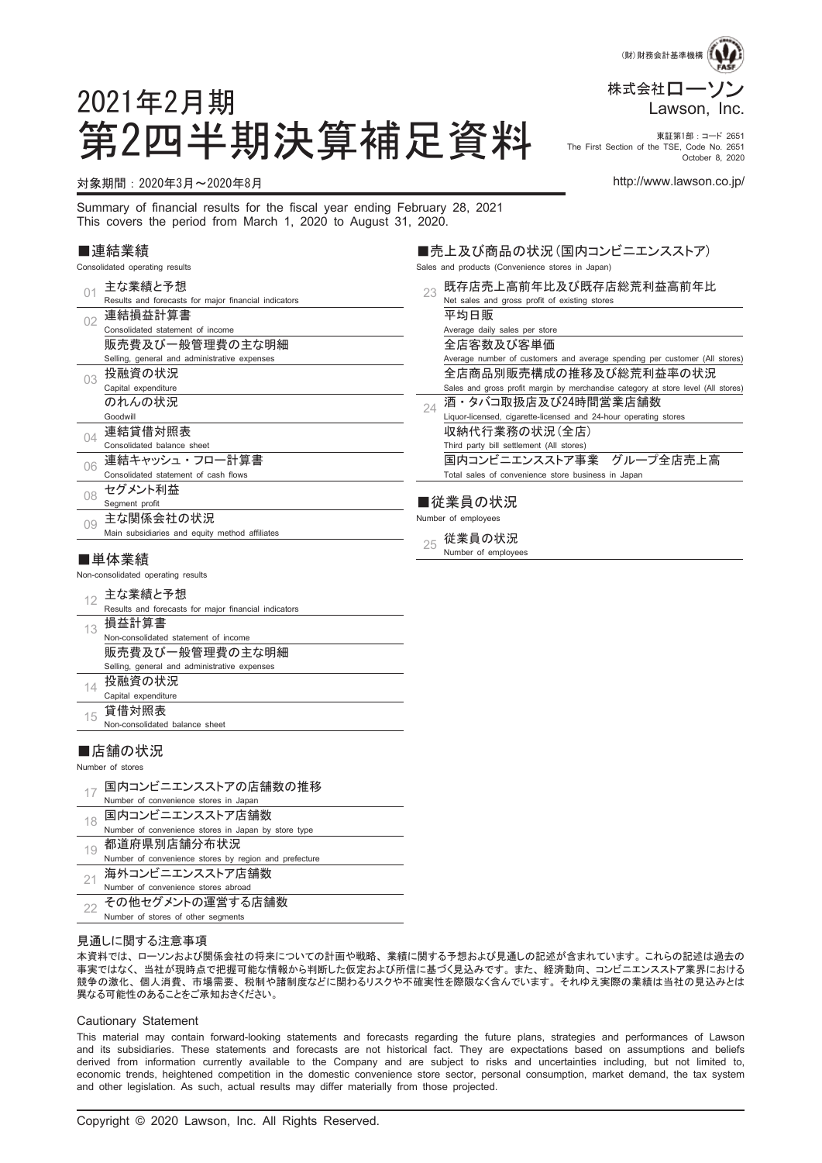

#### 第2四半期決算補足資料 We First Section of the TSE, Code No. 2851 The First Section of the TSE, Code No. 2651 October 8, 2020

#### 対象期間:2020年3月~2020年8月 http://www.lawson.co.jp/

2021年2月期

Summary of financial results for the fiscal year ending February 28, 2021 This covers the period from March 1, 2020 to August 31, 2020.

#### ■連結業績

Consolidated operating results

| 01  | 主な業績と予想                                              | 23 | 既存店売上高前年比及び即                             |
|-----|------------------------------------------------------|----|------------------------------------------|
|     | Results and forecasts for major financial indicators |    | Net sales and gross profit of existing   |
| 02  | 連結損益計算書                                              |    | 平均日販                                     |
|     | Consolidated statement of income                     |    | Average daily sales per store            |
|     | 販売費及び一般管理費の主な明細                                      |    | 全店客数及び客単価                                |
|     | Selling, general and administrative expenses         |    | Average number of customers and av       |
| 03  | 投融資の状況                                               |    | 全店商品別販売構成の推移                             |
|     | Capital expenditure                                  |    | Sales and gross profit margin by mercl   |
|     | のれんの状況                                               | 24 | 酒・タバコ取扱店及び24時                            |
|     | Goodwill                                             |    | Liquor-licensed, cigarette-licensed and  |
| 04  | 連結貸借対照表                                              |    | 収納代行業務の状況(全店)                            |
|     | Consolidated balance sheet                           |    | Third party bill settlement (All stores) |
| 06  | 連結キャッシュ・フロー計算書                                       |    | 国内コンビニエンスストア事                            |
|     | Consolidated statement of cash flows                 |    | Total sales of convenience store busi    |
| 08  | セグメント利益                                              |    |                                          |
|     | Segment profit                                       |    | ■従業員の状況                                  |
| 0.9 | 主な関係会社の状況                                            |    | Number of employees                      |
|     | Main subsidiaries and equity method affiliates       |    | 従業員の状況                                   |
|     |                                                      | 25 | Number of employees                      |
|     | ■単体業績                                                |    |                                          |
|     | Non-consolidated operating results                   |    |                                          |
| 12  | 主な業績と予想                                              |    |                                          |
|     | Results and forecasts for major financial indicators |    |                                          |
| 13  | 損益計算書                                                |    |                                          |
|     | Non-consolidated statement of income                 |    |                                          |
|     | 販売費及び一般管理費の主な明細                                      |    |                                          |
|     | Selling, general and administrative expenses         |    |                                          |
| 14  | 投融資の状況                                               |    |                                          |
|     | Capital expenditure                                  |    |                                          |
| 15  | 貸借対照表                                                |    |                                          |
|     | Non-consolidated balance sheet                       |    |                                          |
|     |                                                      |    |                                          |
|     | ■店舗の状況                                               |    |                                          |
|     | Number of stores                                     |    |                                          |

 $\blacksquare$ Nun

| 国内コンビニエンスストアの店舗数の推移                                   |
|-------------------------------------------------------|
| Number of convenience stores in Japan                 |
| 国内コンビニエンスストア店舗数                                       |
| Number of convenience stores in Japan by store type   |
| 都道府県別店舗分布状況                                           |
| Number of convenience stores by region and prefecture |
| 海外コンビニエンスストア店舗数                                       |
| Number of convenience stores abroad                   |
| その他セグメントの運営する店舗数                                      |
| Number of stores of other segments                    |

#### 見通しに関する注意事項

本資料では、 ローソンおよび関係会社の将来についての計画や戦略、 業績に関する予想および見通しの記述が含まれています。 これらの記述は過去の 事実ではなく、 当社が現時点で把握可能な情報から判断した仮定および所信に基づく見込みです。 また、 経済動向、 コンビニエンスストア業界における 競争の激化、 個人消費、 市場需要、 税制や諸制度などに関わるリスクや不確実性を際限なく含んでいます。 それゆえ実際の業績は当社の見込みとは 異なる可能性のあることをご承知おきください。

#### Cautionary Statement

This material may contain forward-looking statements and forecasts regarding the future plans, strategies and performances of Lawson and its subsidiaries. These statements and forecasts are not historical fact. They are expectations based on assumptions and beliefs derived from information currently available to the Company and are subject to risks and uncertainties including, but not limited to, economic trends, heightened competition in the domestic convenience store sector, personal consumption, market demand, the tax system and other legislation. As such, actual results may differ materially from those projected.

#### ■売上及び商品の状況(国内コンビニエンスストア)

Sales and products (Convenience stores in Japan)

| 23 | 既存店売上高前年比及び既存店総荒利益高前年比                                                            |
|----|-----------------------------------------------------------------------------------|
|    | Net sales and gross profit of existing stores                                     |
|    | 平均日販                                                                              |
|    | Average daily sales per store                                                     |
|    | 全店客数及び客単価                                                                         |
|    | Average number of customers and average spending per customer (All stores)        |
|    | 全店商品別販売構成の推移及び総荒利益率の状況                                                            |
|    | Sales and gross profit margin by merchandise category at store level (All stores) |
| 24 | 酒·タバコ取扱店及び24時間営業店舗数                                                               |
|    | Liquor-licensed, cigarette-licensed and 24-hour operating stores                  |
|    | 収納代行業務の状況(全店)                                                                     |
|    | Third party bill settlement (All stores)                                          |
|    | 国内コンビニエンスストア事業 グループ全店売上高                                                          |
|    | Total sales of convenience store business in Japan                                |
|    |                                                                                   |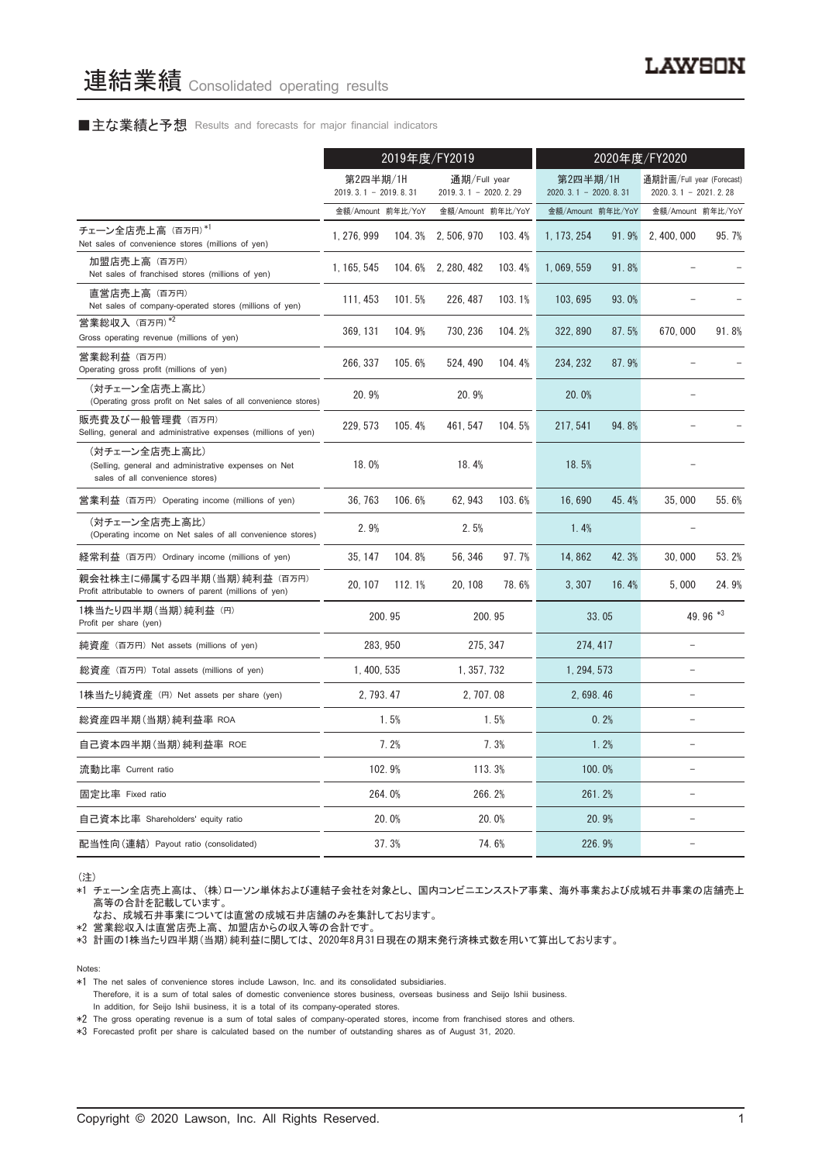#### ■主な業績と予想 Results and forecasts for major financial indicators

|                                                                                                           | 2019年度/FY2019                                                                  |        |                    | 2020年度/FY2020                      |                   |                                                     |                          |       |
|-----------------------------------------------------------------------------------------------------------|--------------------------------------------------------------------------------|--------|--------------------|------------------------------------|-------------------|-----------------------------------------------------|--------------------------|-------|
|                                                                                                           | 第2四半期/1H<br>通期/Full year<br>$2019.3.1 - 2019.8.31$<br>2019. 3. 1 - 2020. 2. 29 |        |                    | 第2四半期/1H<br>$2020.3.1 - 2020.8.31$ |                   | 通期計画/Full year (Forecast)<br>$2020.3.1 - 2021.2.28$ |                          |       |
|                                                                                                           | 金額/Amount 前年比/YoY                                                              |        | 金額/Amount 前年比/YoY  |                                    | 金額/Amount 前年比/YoY |                                                     | 金額/Amount 前年比/YoY        |       |
| チェーン全店売上高 (百万円)*1<br>Net sales of convenience stores (millions of yen)                                    | 1, 276, 999                                                                    |        | 104.3% 2,506,970   | 103.4%                             | 1, 173, 254       | 91.9%                                               | 2, 400, 000              | 95.7% |
| 加盟店売上高(百万円)<br>Net sales of franchised stores (millions of yen)                                           | 1, 165, 545                                                                    |        | 104.6% 2, 280, 482 | 103.4%                             | 1,069,559         | 91.8%                                               |                          |       |
| 直営店売上高(百万円)<br>Net sales of company-operated stores (millions of yen)                                     | 111, 453                                                                       | 101.5% | 226, 487           | 103.1%                             | 103, 695          | 93.0%                                               |                          |       |
| 営業総収入(百万円)*2<br>Gross operating revenue (millions of yen)                                                 | 369, 131                                                                       | 104.9% | 730, 236           | 104.2%                             | 322, 890          | 87.5%                                               | 670,000                  | 91.8% |
| 営業総利益 (百万円)<br>Operating gross profit (millions of yen)                                                   | 266, 337                                                                       | 105.6% | 524, 490           | 104.4%                             | 234, 232          | 87.9%                                               |                          |       |
| (対チェーン全店売上高比)<br>(Operating gross profit on Net sales of all convenience stores)                          | 20.9%                                                                          |        | 20.9%              |                                    | 20.0%             |                                                     |                          |       |
| 販売費及び一般管理費(百万円)<br>Selling, general and administrative expenses (millions of yen)                         | 229, 573                                                                       | 105.4% | 461, 547           | 104.5%                             | 217, 541          | 94.8%                                               |                          |       |
| (対チェーン全店売上高比)<br>(Selling, general and administrative expenses on Net<br>sales of all convenience stores) | 18.0%                                                                          |        | 18.4%              |                                    | 18.5%             |                                                     |                          |       |
| 営業利益 (百万円) Operating income (millions of yen)                                                             | 36.763                                                                         | 106.6% | 62, 943            | 103.6%                             | 16.690            | 45.4%                                               | 35,000                   | 55.6% |
| (対チェーン全店売上高比)<br>(Operating income on Net sales of all convenience stores)                                | 2.9%                                                                           |        | 2.5%               |                                    | 1.4%              |                                                     |                          |       |
| 経常利益(百万円)Ordinary income (millions of yen)                                                                | 35, 147                                                                        | 104.8% | 56, 346            | 97.7%                              | 14,862            | 42.3%                                               | 30.000                   | 53.2% |
| 親会社株主に帰属する四半期 (当期) 純利益 (百万円)<br>Profit attributable to owners of parent (millions of yen)                 | 20, 107                                                                        | 112.1% | 20, 108            | 78.6%                              | 3,307             | 16.4%                                               | 5,000                    | 24.9% |
| 1株当たり四半期(当期) 純利益 (円)<br>Profit per share (yen)                                                            | 200.95                                                                         |        |                    | 33.05<br>200.95                    |                   | 49.96 *3                                            |                          |       |
| 純資産 (百万円) Net assets (millions of yen)                                                                    | 283, 950                                                                       |        | 275, 347           |                                    | 274, 417          |                                                     |                          |       |
| 総資産 (百万円) Total assets (millions of yen)                                                                  | 1, 400, 535                                                                    |        |                    | 1, 357, 732                        |                   | 1, 294, 573                                         |                          |       |
| 1株当たり純資産 (円) Net assets per share (yen)                                                                   | 2.793.47                                                                       |        | 2.707.08           |                                    | 2.698.46          |                                                     | $\equiv$                 |       |
| 総資産四半期(当期) 純利益率 ROA                                                                                       |                                                                                | 1.5%   | 1.5%               |                                    | 0.2%              |                                                     |                          |       |
| 自己資本四半期(当期) 純利益率 ROE                                                                                      |                                                                                | 7.2%   | 7.3%               |                                    | 1.2%              |                                                     | $\overline{\phantom{0}}$ |       |
| 流動比率 Current ratio                                                                                        |                                                                                | 102.9% | 113.3%             |                                    | 100.0%            |                                                     |                          |       |
| 固定比率 Fixed ratio                                                                                          |                                                                                | 264.0% |                    | 266.2%                             |                   | 261.2%                                              |                          |       |
| 自己資本比率 Shareholders' equity ratio                                                                         |                                                                                | 20.0%  |                    | 20.0%                              |                   | 20.9%                                               |                          |       |
| 配当性向(連結) Payout ratio (consolidated)                                                                      |                                                                                | 37.3%  |                    | 74.6%                              |                   | 226.9%                                              |                          |       |

(注)

\*1 チェーン全店売上高は、 (株)ローソン単体および連結子会社を対象とし、 国内コンビニエンスストア事業、 海外事業および成城石井事業の店舗売上 高等の合計を記載しています。

なお、 成城石井事業については直営の成城石井店舗のみを集計しております。

\*2 営業総収入は直営店売上高、 加盟店からの収入等の合計です。

\*3 計画の1株当たり四半期(当期)純利益に関しては、 2020年8月31日現在の期末発行済株式数を用いて算出しております。

Notes:

\*1 The net sales of convenience stores include Lawson, Inc. and its consolidated subsidiaries.

Therefore, it is a sum of total sales of domestic convenience stores business, overseas business and Seijo Ishii business. In addition, for Seijo Ishii business, it is a total of its company-operated stores.

\*2 The gross operating revenue is a sum of total sales of company-operated stores, income from franchised stores and others.

\*3 Forecasted profit per share is calculated based on the number of outstanding shares as of August 31, 2020.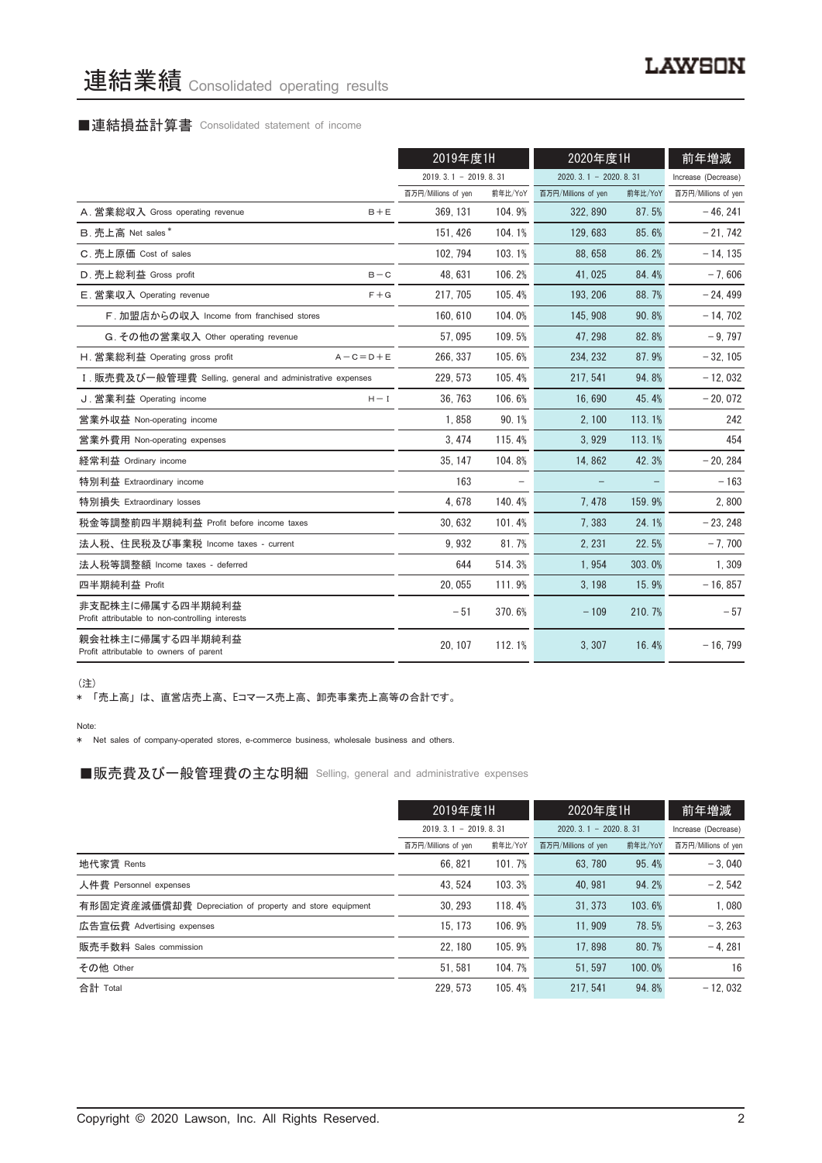# 連結業績 Consolidated operating results

# ■連結損益計算書 Consolidated statement of income

|                                                                      | 2019年度1H               |         | 2020年度1H               |         | 前年増減                |
|----------------------------------------------------------------------|------------------------|---------|------------------------|---------|---------------------|
|                                                                      | $2019.3.1 - 2019.8.31$ |         | $2020.3.1 - 2020.8.31$ |         | Increase (Decrease) |
|                                                                      | 百万円/Millions of yen    | 前年比/YoY | 百万円/Millions of yen    | 前年比/YoY | 百万円/Millions of yen |
| A. 営業総収入 Gross operating revenue<br>$B + E$                          | 369, 131               | 104.9%  | 322, 890               | 87.5%   | $-46.241$           |
| B. 売上高 Net sales*                                                    | 151, 426               | 104.1%  | 129.683                | 85.6%   | $-21,742$           |
| C. 売上原価 Cost of sales                                                | 102, 794               | 103.1%  | 88.658                 | 86.2%   | $-14, 135$          |
| D. 売上総利益 Gross profit<br>$B - C$                                     | 48, 631                | 106.2%  | 41,025                 | 84.4%   | $-7,606$            |
| E. 営業収入 Operating revenue<br>$F + G$                                 | 217, 705               | 105.4%  | 193.206                | 88.7%   | $-24.499$           |
| F. 加盟店からの収入 Income from franchised stores                            | 160.610                | 104.0%  | 145, 908               | 90.8%   | $-14, 702$          |
| G. その他の営業収入 Other operating revenue                                  | 57,095                 | 109.5%  | 47.298                 | 82.8%   | $-9,797$            |
| H. 営業総利益 Operating gross profit<br>$A - C = D + E$                   | 266, 337               | 105.6%  | 234, 232               | 87.9%   | $-32, 105$          |
| I. 販売費及び一般管理費 Selling, general and administrative expenses           | 229, 573               | 105.4%  | 217, 541               | 94.8%   | $-12,032$           |
| J. 営業利益 Operating income<br>$H - I$                                  | 36.763                 | 106.6%  | 16.690                 | 45.4%   | $-20.072$           |
| 営業外収益 Non-operating income                                           | 1.858                  | 90.1%   | 2.100                  | 113.1%  | 242                 |
| 営業外費用 Non-operating expenses                                         | 3, 474                 | 115.4%  | 3,929                  | 113.1%  | 454                 |
| 経常利益 Ordinary income                                                 | 35, 147                | 104.8%  | 14,862                 | 42.3%   | $-20, 284$          |
| 特別利益 Extraordinary income                                            | 163                    |         |                        |         | $-163$              |
| 特別損失 Extraordinary losses                                            | 4,678                  | 140.4%  | 7,478                  | 159.9%  | 2,800               |
| 税金等調整前四半期純利益 Profit before income taxes                              | 30.632                 | 101.4%  | 7.383                  | 24.1%   | $-23, 248$          |
| 法人税、住民税及び事業税 Income taxes - current                                  | 9.932                  | 81.7%   | 2.231                  | 22.5%   | $-7,700$            |
| 法人税等調整額 Income taxes - deferred                                      | 644                    | 514.3%  | 1.954                  | 303.0%  | 1,309               |
| 四半期純利益 Profit                                                        | 20.055                 | 111.9%  | 3, 198                 | 15.9%   | $-16, 857$          |
| 非支配株主に帰属する四半期純利益<br>Profit attributable to non-controlling interests | $-51$                  | 370.6%  | $-109$                 | 210.7%  | $-57$               |
| 親会社株主に帰属する四半期純利益<br>Profit attributable to owners of parent          | 20, 107                | 112.1%  | 3,307                  | 16.4%   | $-16,799$           |

(注)

\* 「売上高」 は、 直営店売上高、 Eコマース売上高、 卸売事業売上高等の合計です。

Note:

\* Net sales of company-operated stores, e-commerce business, wholesale business and others.

■販売費及び一般管理費の主な明細 Selling, general and administrative expenses

|                                                          | 2019年度1H               |         | 2020年度1H               |         | 前年増減                |  |
|----------------------------------------------------------|------------------------|---------|------------------------|---------|---------------------|--|
|                                                          | $2019.3.1 - 2019.8.31$ |         | $2020.3.1 - 2020.8.31$ |         | Increase (Decrease) |  |
|                                                          | 百万円/Millions of yen    | 前年比/YoY | 百万円/Millions of yen    | 前年比/YoY | 百万円/Millions of yen |  |
| 地代家賃 Rents                                               | 66.821                 | 101.7%  | 63.780                 | 95.4%   | $-3.040$            |  |
| 人件費 Personnel expenses                                   | 43.524                 | 103.3%  | 40.981                 | 94.2%   | $-2.542$            |  |
| 有形固定資産減価償却費 Depreciation of property and store equipment | 30.293                 | 118.4%  | 31.373                 | 103.6%  | 1.080               |  |
| 広告宣伝費 Advertising expenses                               | 15.173                 | 106.9%  | 11.909                 | 78.5%   | $-3.263$            |  |
| 販売手数料 Sales commission                                   | 22.180                 | 105.9%  | 17.898                 | 80.7%   | $-4.281$            |  |
| その他 Other                                                | 51.581                 | 104.7%  | 51.597                 | 100.0%  | 16                  |  |
| 合計 Total                                                 | 229.573                | 105.4%  | 217.541                | 94.8%   | $-12.032$           |  |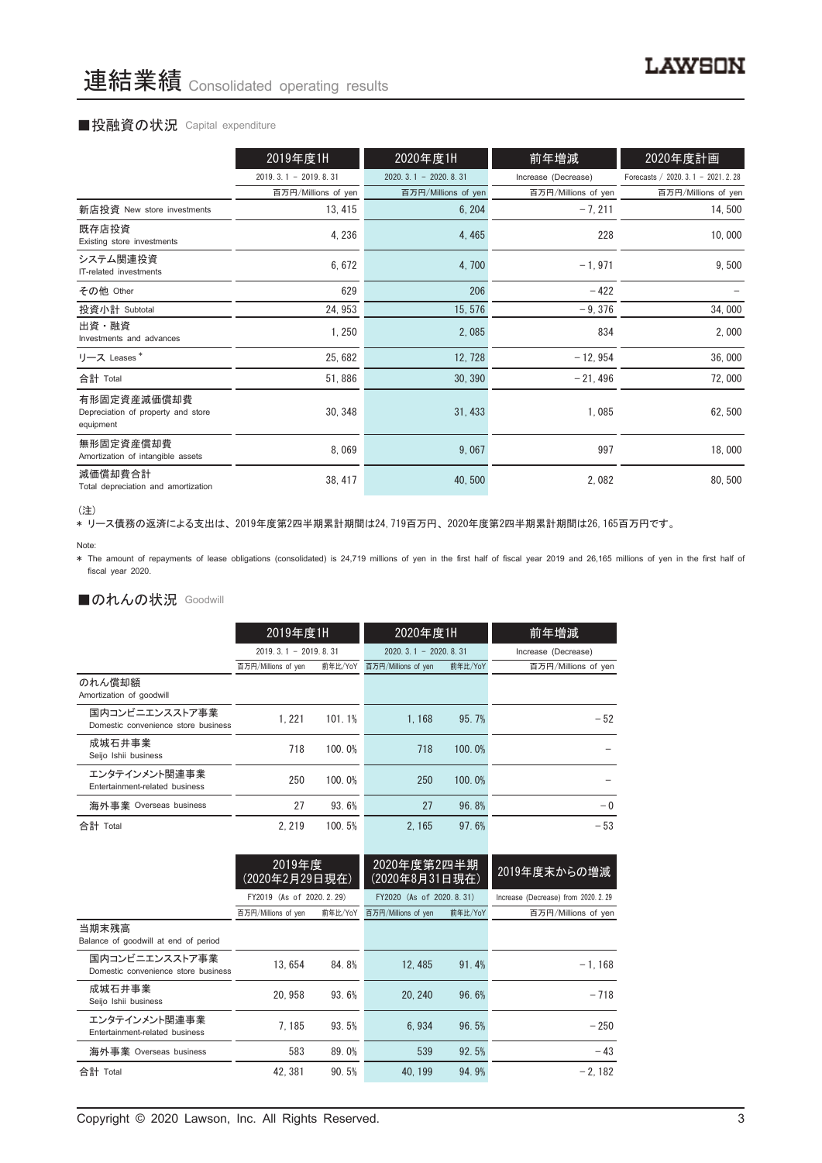#### ■投融資の状況 Capital expenditure

|                                                                | 2019年度1H               | 2020年度1H               | 前年増減                | 2020年度計画                             |
|----------------------------------------------------------------|------------------------|------------------------|---------------------|--------------------------------------|
|                                                                | $2019.3.1 - 2019.8.31$ | $2020.3.1 - 2020.8.31$ | Increase (Decrease) | Forecasts / 2020. 3. 1 - 2021. 2. 28 |
|                                                                | 百万円/Millions of yen    | 百万円/Millions of yen    | 百万円/Millions of yen | 百万円/Millions of yen                  |
| 新店投資 New store investments                                     | 13, 415                | 6, 204                 | $-7, 211$           | 14,500                               |
| 既存店投資<br>Existing store investments                            | 4, 236                 | 4,465                  | 228                 | 10,000                               |
| システム関連投資<br>IT-related investments                             | 6,672                  | 4,700                  | $-1,971$            | 9,500                                |
| その他 Other                                                      | 629                    | 206                    | $-422$              |                                      |
| 投資小計 Subtotal                                                  | 24, 953                | 15, 576                | $-9,376$            | 34,000                               |
| 出資・融資<br>Investments and advances                              | 1,250                  | 2,085                  | 834                 | 2,000                                |
| リース Leases <sup>*</sup>                                        | 25,682                 | 12, 728                | $-12,954$           | 36,000                               |
| 合計 Total                                                       | 51,886                 | 30, 390                | $-21,496$           | 72,000                               |
| 有形固定資産減価償却費<br>Depreciation of property and store<br>equipment | 30, 348                | 31, 433                | 1,085               | 62,500                               |
| 無形固定資産償却費<br>Amortization of intangible assets                 | 8,069                  | 9,067                  | 997                 | 18,000                               |
| 減価償却費合計<br>Total depreciation and amortization                 | 38, 417                | 40,500                 | 2,082               | 80, 500                              |

<sup>(</sup>注)

、----<br>\* リース債務の返済による支出は、2019年度第2四半期累計期間は24,719百万円、2020年度第2四半期累計期間は26,165百万円です。

\* The amount of repayments of lease obligations (consolidated) is 24,719 millions of yen in the first half of fiscal year 2019 and 26,165 millions of yen in the first half of fiscal year 2020.

### ■のれんの状況 Goodwill

|                                                       | 2019年度1H               |         | 2020年度1H               |         | 前年増減                |
|-------------------------------------------------------|------------------------|---------|------------------------|---------|---------------------|
|                                                       | $2019.3.1 - 2019.8.31$ |         | $2020.3.1 - 2020.8.31$ |         | Increase (Decrease) |
|                                                       | 百万円/Millions of yen    | 前年比/YoY | 百万円/Millions of yen    | 前年比/YoY | 百万円/Millions of yen |
| のれん償却額<br>Amortization of goodwill                    |                        |         |                        |         |                     |
| 国内コンビニエンスストア事業<br>Domestic convenience store business | 1.221                  | 101.1%  | 1.168                  | 95.7%   | $-52$               |
| 成城石井事業<br>Seijo Ishii business                        | 718                    | 100.0%  | 718                    | 100.0%  |                     |
| エンタテインメント関連事業<br>Entertainment-related business       | 250                    | 100.0%  | 250                    | 100.0%  |                     |
| 海外事業 Overseas business                                | 27                     | 93.6%   | 27                     | 96.8%   | $-0$                |
| 合計 Total                                              | 2.219                  | 100.5%  | 2.165                  | 97.6%   | $-53$               |

|                                                       | 2019年度<br>(2020年2月29日現在) |         | 2020年度第2四半期<br>(2020年8月31日現在)  |       | 2019年度末からの増減                         |
|-------------------------------------------------------|--------------------------|---------|--------------------------------|-------|--------------------------------------|
|                                                       | FY2019 (As of 2020.2.29) |         | FY2020 (As of 2020, 8, 31)     |       | Increase (Decrease) from 2020. 2. 29 |
|                                                       | 百万円/Millions of yen      | 前年比/YoY | 百万円/Millions of yen<br>前年比/YoY |       | 百万円/Millions of yen                  |
| 当期末残高<br>Balance of goodwill at end of period         |                          |         |                                |       |                                      |
| 国内コンビニエンスストア事業<br>Domestic convenience store business | 13.654                   | 84.8%   | 12.485                         | 91.4% | $-1.168$                             |
| 成城石井事業<br>Seijo Ishii business                        | 20.958                   | 93.6%   | 20.240                         | 96.6% | $-718$                               |
| エンタテインメント関連事業<br>Entertainment-related business       | 7.185                    | 93.5%   | 6.934                          | 96.5% | $-250$                               |
| 海外事業 Overseas business                                | 583                      | 89.0%   | 539                            | 92.5% | $-43$                                |
| 合計 Total                                              | 42.381                   | 90.5%   | 40.199                         | 94.9% | $-2.182$                             |

Note: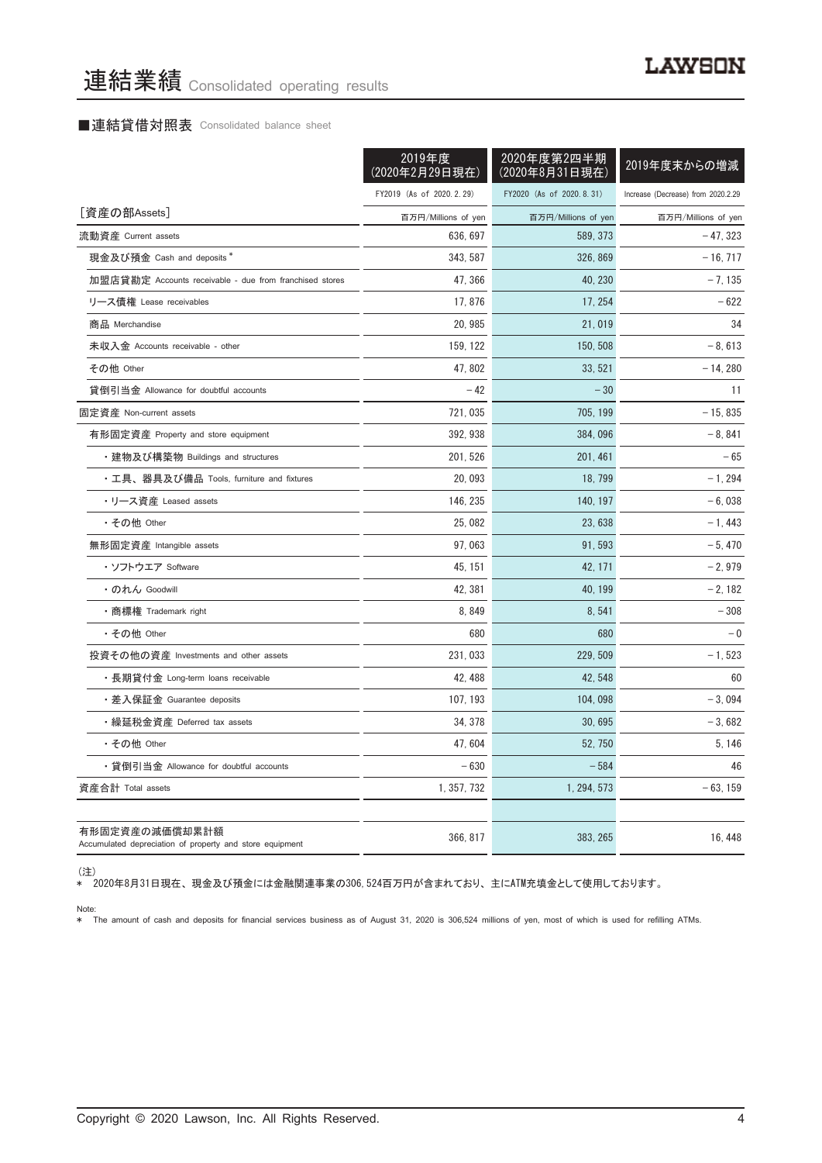#### ■連結貸借対照表 Consolidated balance sheet

|                                                                            | 2019年度<br>(2020年2月29日現在) | 2020年度第2四半期<br>(2020年8月31日現在) | 2019年度末からの増減                       |
|----------------------------------------------------------------------------|--------------------------|-------------------------------|------------------------------------|
|                                                                            | FY2019 (As of 2020.2.29) | FY2020 (As of 2020.8.31)      | Increase (Decrease) from 2020.2.29 |
| [資産の部Assets]                                                               | 百万円/Millions of yen      | 百万円/Millions of yen           | 百万円/Millions of yen                |
| 流動資産 Current assets                                                        | 636, 697                 | 589, 373                      | $-47,323$                          |
| 現金及び預金 Cash and deposits *                                                 | 343.587                  | 326, 869                      | $-16, 717$                         |
| 加盟店貸勘定 Accounts receivable - due from franchised stores                    | 47, 366                  | 40, 230                       | $-7,135$                           |
| リース債権 Lease receivables                                                    | 17,876                   | 17, 254                       | $-622$                             |
| 商品 Merchandise                                                             | 20, 985                  | 21,019                        | 34                                 |
| 未収入金 Accounts receivable - other                                           | 159, 122                 | 150, 508                      | $-8,613$                           |
| その他 Other                                                                  | 47.802                   | 33, 521                       | $-14,280$                          |
| 貸倒引当金 Allowance for doubtful accounts                                      | $-42$                    | $-30$                         | 11                                 |
| 固定資産 Non-current assets                                                    | 721.035                  | 705.199                       | $-15.835$                          |
| 有形固定資産 Property and store equipment                                        | 392.938                  | 384,096                       | $-8,841$                           |
| ・建物及び構築物 Buildings and structures                                          | 201, 526                 | 201, 461                      | $-65$                              |
| ・工具、器具及び備品 Tools, furniture and fixtures                                   | 20,093                   | 18, 799                       | $-1, 294$                          |
| ・リース資産 Leased assets                                                       | 146, 235                 | 140, 197                      | $-6,038$                           |
| ・その他 Other                                                                 | 25,082                   | 23, 638                       | - 1, 443                           |
| 無形固定資産 Intangible assets                                                   | 97,063                   | 91, 593                       | $-5,470$                           |
| ・ソフトウエア Software                                                           | 45, 151                  | 42, 171                       | $-2,979$                           |
| ・のれん Goodwill                                                              | 42, 381                  | 40, 199                       | - 2, 182                           |
| •商標権 Trademark right                                                       | 8,849                    | 8,541                         | $-308$                             |
| ・その他 Other                                                                 | 680                      | 680                           | $-0$                               |
| 投資その他の資産 Investments and other assets                                      | 231,033                  | 229, 509                      | $-1,523$                           |
| ・長期貸付金 Long-term loans receivable                                          | 42, 488                  | 42, 548                       | 60                                 |
| ・差入保証金 Guarantee deposits                                                  | 107, 193                 | 104, 098                      | $-3,094$                           |
| ・繰延税金資産 Deferred tax assets                                                | 34, 378                  | 30,695                        | $-3,682$                           |
| • その他 Other                                                                | 47.604                   | 52,750                        | 5, 146                             |
| ・貸倒引当金 Allowance for doubtful accounts                                     | $-630$                   | $-584$                        | 46                                 |
| 資産合計 Total assets                                                          | 1, 357, 732              | 1, 294, 573                   | $-63, 159$                         |
|                                                                            |                          |                               |                                    |
| 有形固定資産の減価償却累計額<br>Accumulated depreciation of property and store equipment | 366, 817                 | 383, 265                      | 16, 448                            |

(注)

\* 2020年8月31日現在、 現金及び預金には金融関連事業の306,524百万円が含まれており、 主にATM充填金として使用しております。

Note: \* The amount of cash and deposits for financial services business as of August 31, 2020 is 306,524 millions of yen, most of which is used for refilling ATMs.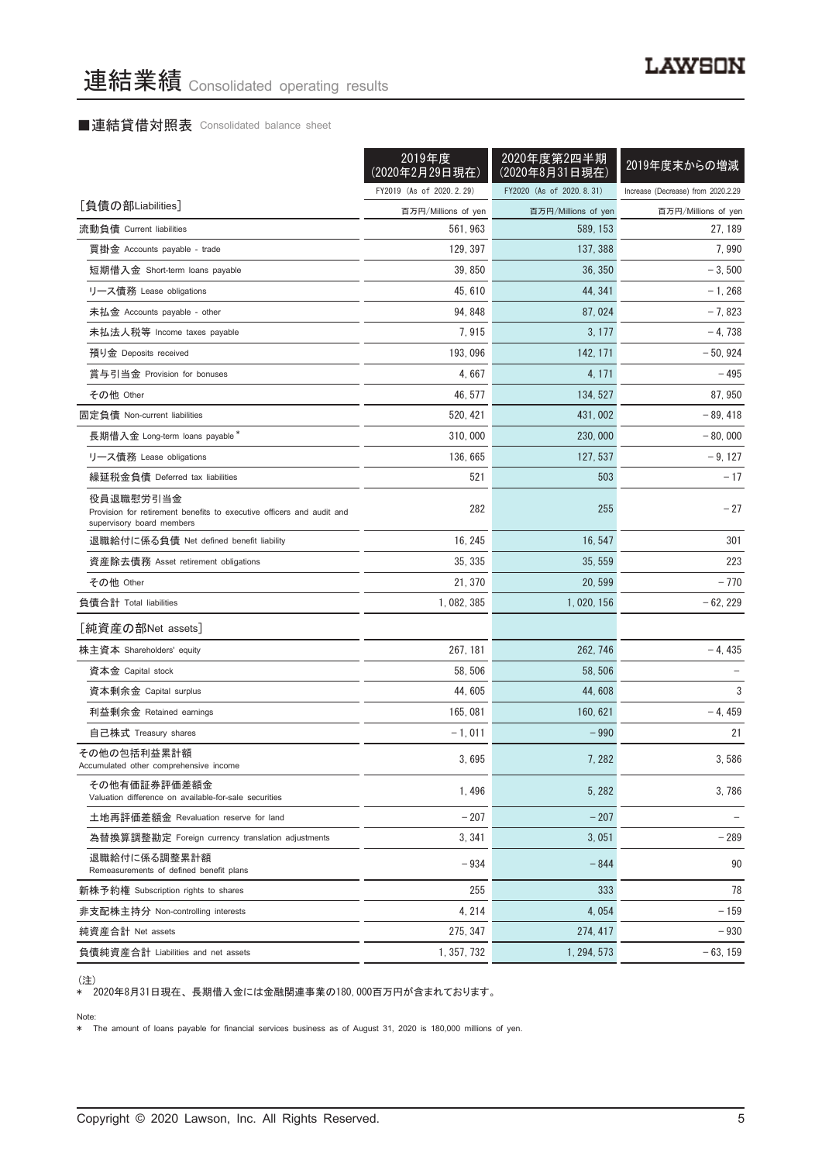#### ■連結貸借対照表 Consolidated balance sheet

|                                                                                                                 | 2019年度<br>(2020年2月29日現在) | 2020年度第2四半期<br>(2020年8月31日現在) | 2019年度末からの増減                       |
|-----------------------------------------------------------------------------------------------------------------|--------------------------|-------------------------------|------------------------------------|
|                                                                                                                 | FY2019 (As of 2020.2.29) | FY2020 (As of 2020.8.31)      | Increase (Decrease) from 2020.2.29 |
| [負債の部Liabilities]                                                                                               | 百万円/Millions of yen      | 百万円/Millions of yen           | 百万円/Millions of yen                |
| 流動負債 Current liabilities                                                                                        | 561, 963                 | 589, 153                      | 27, 189                            |
| 買掛金 Accounts payable - trade                                                                                    | 129, 397                 | 137, 388                      | 7,990                              |
| 短期借入金 Short-term loans payable                                                                                  | 39, 850                  | 36, 350                       | $-3,500$                           |
| リース債務 Lease obligations                                                                                         | 45, 610                  | 44, 341                       | $-1,268$                           |
| 未払金 Accounts payable - other                                                                                    | 94, 848                  | 87,024                        | $-7,823$                           |
| 未払法人税等 Income taxes payable                                                                                     | 7,915                    | 3, 177                        | $-4.738$                           |
| 預り金 Deposits received                                                                                           | 193, 096                 | 142, 171                      | $-50,924$                          |
| 賞与引当金 Provision for bonuses                                                                                     | 4,667                    | 4, 171                        | - 495                              |
| その他 Other                                                                                                       | 46, 577                  | 134, 527                      | 87, 950                            |
| 固定負債 Non-current liabilities                                                                                    | 520, 421                 | 431,002                       | $-89,418$                          |
| 長期借入金 Long-term loans payable *                                                                                 | 310,000                  | 230,000                       | $-80,000$                          |
| リース債務 Lease obligations                                                                                         | 136, 665                 | 127, 537                      | $-9,127$                           |
| 繰延税金負債 Deferred tax liabilities                                                                                 | 521                      | 503                           | $-17$                              |
| 役員退職慰労引当金<br>Provision for retirement benefits to executive officers and audit and<br>supervisory board members | 282                      | 255                           | $-27$                              |
| 退職給付に係る負債 Net defined benefit liability                                                                         | 16, 245                  | 16.547                        | 301                                |
| 資産除去債務 Asset retirement obligations                                                                             | 35, 335                  | 35, 559                       | 223                                |
| その他 Other                                                                                                       | 21, 370                  | 20, 599                       | $-770$                             |
| 負債合計 Total liabilities                                                                                          | 1, 082, 385              | 1, 020, 156                   | $-62, 229$                         |
| [純資産の部Net assets]                                                                                               |                          |                               |                                    |
| 株主資本 Shareholders' equity                                                                                       | 267, 181                 | 262, 746                      | $-4,435$                           |
| 資本金 Capital stock                                                                                               | 58, 506                  | 58, 506                       |                                    |
| 資本剰余金 Capital surplus                                                                                           | 44,605                   | 44,608                        | 3                                  |
| 利益剰余金 Retained earnings                                                                                         | 165, 081                 | 160, 621                      | $-4,459$                           |
| 自己株式 Treasury shares                                                                                            | $-1,011$                 | $-990$                        | 21                                 |
| その他の包括利益累計額<br>Accumulated other comprehensive income                                                           | 3,695                    | 7,282                         | 3,586                              |
| その他有価証券評価差額金<br>Valuation difference on available-for-sale securities                                           | 1,496                    | 5, 282                        | 3,786                              |
| 土地再評価差額金 Revaluation reserve for land                                                                           | $-207$                   | $-207$                        |                                    |
| 為替換算調整勘定 Foreign currency translation adjustments                                                               | 3,341                    | 3,051                         | $-289$                             |
| 退職給付に係る調整累計額<br>Remeasurements of defined benefit plans                                                         | $-934$                   | $-844$                        | 90                                 |
| 新株予約権 Subscription rights to shares                                                                             | 255                      | 333                           | 78                                 |
| 非支配株主持分 Non-controlling interests                                                                               | 4, 214                   | 4,054                         | $-159$                             |
| 純資産合計 Net assets                                                                                                | 275, 347                 | 274, 417                      | -930                               |
| 負債純資産合計 Liabilities and net assets                                                                              | 1, 357, 732              | 1, 294, 573                   | $-63, 159$                         |

<sup>(</sup>注)

\* 2020年8月31日現在、 長期借入金には金融関連事業の180,000百万円が含まれております。

Note:

\* The amount of loans payable for financial services business as of August 31, 2020 is 180,000 millions of yen.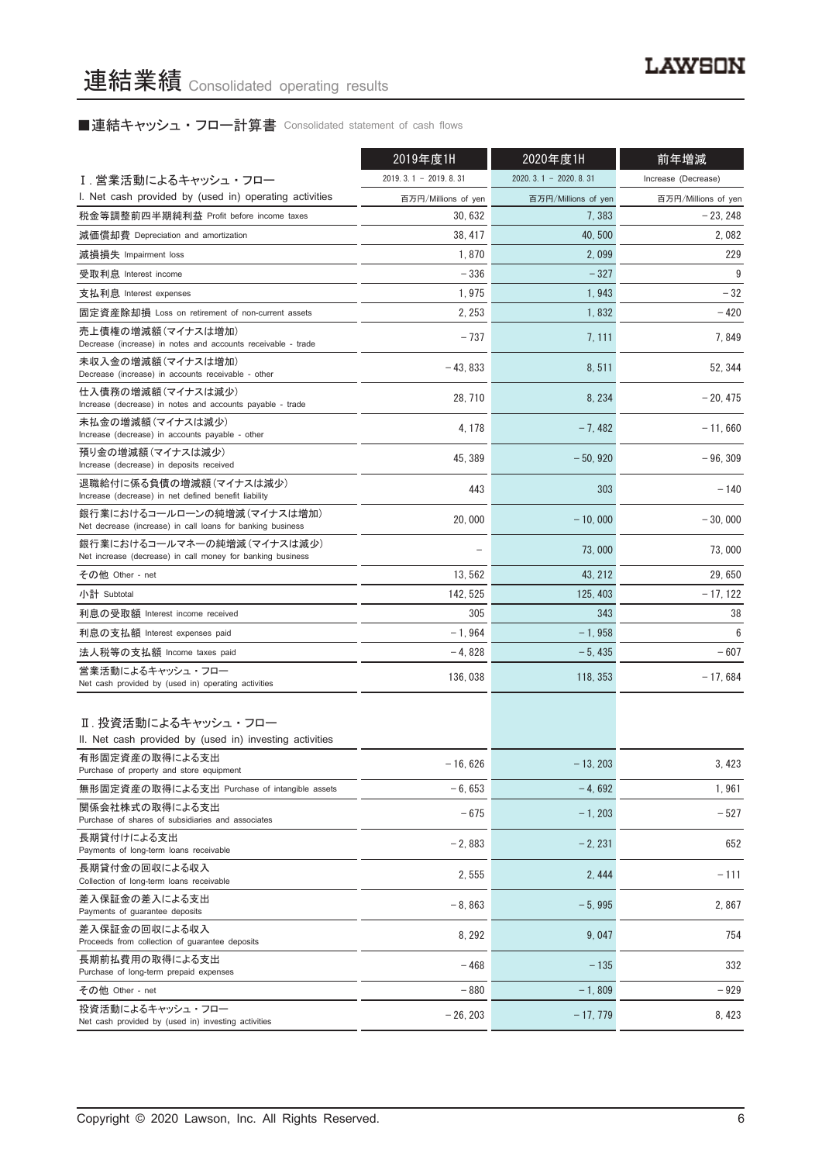# ■連結キャッシュ・フロー計算書 Consolidated statement of cash flows

|                                                                                          | 2019年度1H               | 2020年度1H               | 前年増減                |
|------------------------------------------------------------------------------------------|------------------------|------------------------|---------------------|
| Ⅰ. 営業活動によるキャッシュ・フロー                                                                      | $2019.3.1 - 2019.8.31$ | $2020.3.1 - 2020.8.31$ | Increase (Decrease) |
| I. Net cash provided by (used in) operating activities                                   | 百万円/Millions of yen    | 百万円/Millions of yen    | 百万円/Millions of yen |
| 税金等調整前四半期純利益 Profit before income taxes                                                  | 30.632                 | 7,383                  | $-23, 248$          |
| 減価償却費 Depreciation and amortization                                                      | 38.417                 | 40, 500                | 2,082               |
| 減損損失 Impairment loss                                                                     | 1,870                  | 2,099                  | 229                 |
| 受取利息 Interest income                                                                     | $-336$                 | $-327$                 | 9                   |
| 支払利息 Interest expenses                                                                   | 1,975                  | 1,943                  | $-32$               |
| 固定資産除却損 Loss on retirement of non-current assets                                         | 2, 253                 | 1,832                  | - 420               |
| 売上債権の増減額(マイナスは増加)<br>Decrease (increase) in notes and accounts receivable - trade        | $-737$                 | 7, 111                 | 7,849               |
| 未収入金の増減額(マイナスは増加)<br>Decrease (increase) in accounts receivable - other                  | $-43,833$              | 8,511                  | 52, 344             |
| 仕入債務の増減額(マイナスは減少)<br>Increase (decrease) in notes and accounts payable - trade           | 28, 710                | 8, 234                 | $-20, 475$          |
| 未払金の増減額(マイナスは減少)<br>Increase (decrease) in accounts payable - other                      | 4, 178                 | $-7,482$               | $-11.660$           |
| 預り金の増減額 (マイナスは減少)<br>Increase (decrease) in deposits received                            | 45, 389                | $-50,920$              | $-96, 309$          |
| 退職給付に係る負債の増減額(マイナスは減少)<br>Increase (decrease) in net defined benefit liability           | 443                    | 303                    | $-140$              |
| 銀行業におけるコールローンの純増減(マイナスは増加)<br>Net decrease (increase) in call loans for banking business | 20,000                 | $-10.000$              | $-30.000$           |
| 銀行業におけるコールマネーの純増減(マイナスは減少)<br>Net increase (decrease) in call money for banking business |                        | 73,000                 | 73,000              |
| その他 Other - net                                                                          | 13,562                 | 43, 212                | 29,650              |
| 小計 Subtotal                                                                              | 142, 525               | 125, 403               | $-17, 122$          |
| 利息の受取額 Interest income received                                                          | 305                    | 343                    | 38                  |
| 利息の支払額 Interest expenses paid                                                            | $-1,964$               | $-1,958$               | 6                   |
| 法人税等の支払額 Income taxes paid                                                               | $-4,828$               | $-5,435$               | - 607               |
| 営業活動によるキャッシュ・フロー<br>Net cash provided by (used in) operating activities                  | 136, 038               | 118, 353               | $-17,684$           |
| Ⅱ. 投資活動によるキャッシュ・フロー<br>II. Net cash provided by (used in) investing activities           |                        |                        |                     |
| 有形固定資産の取得による支出<br>Purchase of property and store equipment                               | $-16,626$              | $-13, 203$             | 3, 423              |
| 無形固定資産の取得による支出 Purchase of intangible assets                                             | $-6,653$               | $-4,692$               | 1,961               |
| 関係会社株式の取得による支出<br>Purchase of shares of subsidiaries and associates                      | $-675$                 | $-1, 203$              | $-527$              |
| 長期貸付けによる支出<br>Payments of long-term loans receivable                                     | $-2,883$               | $-2, 231$              | 652                 |
| 長期貸付金の回収による収入<br>Collection of long-term loans receivable                                | 2,555                  | 2,444                  | $-111$              |
| 差入保証金の差入による支出<br>Payments of guarantee deposits                                          | $-8,863$               | $-5,995$               | 2,867               |
| 差入保証金の回収による収入<br>Proceeds from collection of guarantee deposits                          | 8, 292                 | 9,047                  | 754                 |
| 長期前払費用の取得による支出<br>Purchase of long-term prepaid expenses                                 | $-468$                 | $-135$                 | 332                 |
| その他 Other - net                                                                          | $-880$                 | $-1,809$               | $-929$              |
| 投資活動によるキャッシュ・フロー<br>Net cash provided by (used in) investing activities                  | $-26, 203$             | $-17,779$              | 8,423               |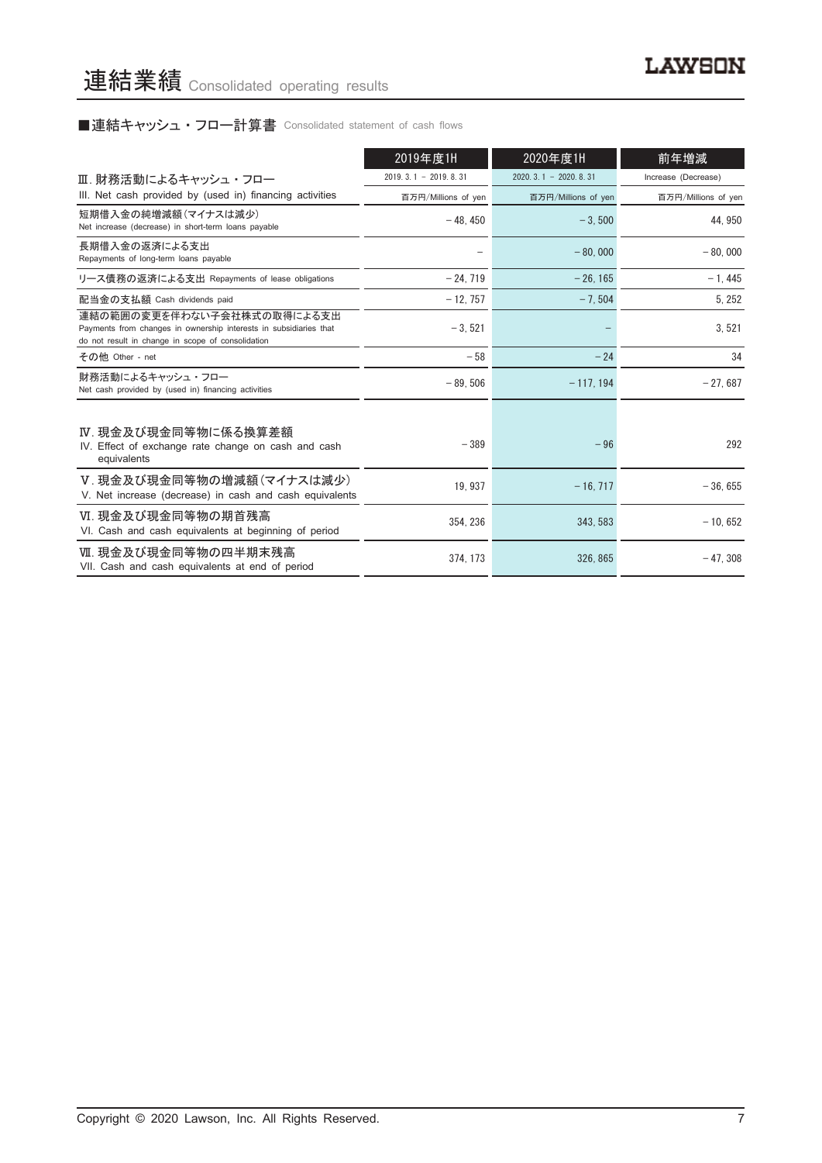# ■連結キャッシュ・フロー計算書 Consolidated statement of cash flows

|                                                                                                                                                      | 2019年度1H               | 2020年度1H                   | 前年増減                |
|------------------------------------------------------------------------------------------------------------------------------------------------------|------------------------|----------------------------|---------------------|
| Ⅲ. 財務活動によるキャッシュ・フロー                                                                                                                                  | $2019.3.1 - 2019.8.31$ | $2020, 3, 1 - 2020, 8, 31$ | Increase (Decrease) |
| III. Net cash provided by (used in) financing activities                                                                                             | 百万円/Millions of yen    | 百万円/Millions of yen        | 百万円/Millions of yen |
| 短期借入金の純増減額(マイナスは減少)<br>Net increase (decrease) in short-term loans payable                                                                           | $-48.450$              | $-3.500$                   | 44.950              |
| 長期借入金の返済による支出<br>Repayments of long-term loans payable                                                                                               |                        | $-80,000$                  | $-80.000$           |
| リース債務の返済による支出 Repayments of lease obligations                                                                                                        | $-24.719$              | $-26.165$                  | $-1.445$            |
| 配当金の支払額 Cash dividends paid                                                                                                                          | $-12.757$              | $-7.504$                   | 5, 252              |
| 連結の範囲の変更を伴わない子会社株式の取得による支出<br>Payments from changes in ownership interests in subsidiaries that<br>do not result in change in scope of consolidation | $-3.521$               |                            | 3.521               |
| その他 Other - net                                                                                                                                      | $-58$                  | $-24$                      | 34                  |
| 財務活動によるキャッシュ・フロー<br>Net cash provided by (used in) financing activities                                                                              | $-89,506$              | $-117, 194$                | $-27,687$           |
| Ⅳ. 現金及び現金同等物に係る換算差額<br>IV. Effect of exchange rate change on cash and cash<br>equivalents                                                            | $-389$                 | $-96$                      | 292                 |
| V.現金及び現金同等物の増減額(マイナスは減少)<br>V. Net increase (decrease) in cash and cash equivalents                                                                  | 19, 937                | $-16, 717$                 | $-36.655$           |
| Ⅵ. 現金及び現金同等物の期首残高<br>VI. Cash and cash equivalents at beginning of period                                                                            | 354, 236               | 343, 583                   | $-10,652$           |
| Ⅶ. 現金及び現金同等物の四半期末残高<br>VII. Cash and cash equivalents at end of period                                                                               | 374.173                | 326, 865                   | $-47.308$           |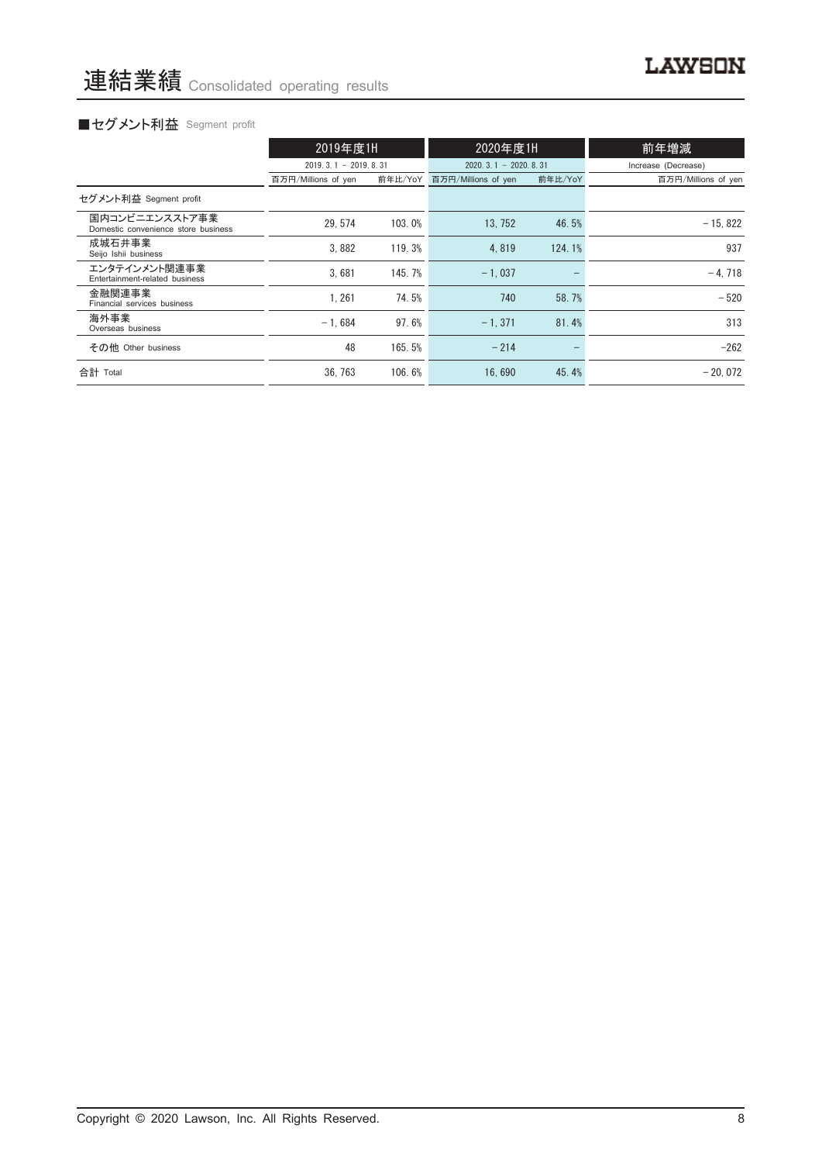# ■セグメント利益 Segment profit

|                                                       | 2019年度1H               |         | 2020年度1H               |         | 前年増減                |  |
|-------------------------------------------------------|------------------------|---------|------------------------|---------|---------------------|--|
|                                                       | $2019.3.1 - 2019.8.31$ |         | $2020.3.1 - 2020.8.31$ |         | Increase (Decrease) |  |
|                                                       | 百万円/Millions of yen    | 前年比/YoY | 百万円/Millions of yen    | 前年比/YoY | 百万円/Millions of yen |  |
| セグメント利益 Segment profit                                |                        |         |                        |         |                     |  |
| 国内コンビニエンスストア事業<br>Domestic convenience store business | 29.574                 | 103.0%  | 13.752                 | 46.5%   | $-15,822$           |  |
| 成城石井事業<br>Seijo Ishii business                        | 3.882                  | 119.3%  | 4.819                  | 124.1%  | 937                 |  |
| エンタテインメント関連事業<br>Entertainment-related business       | 3.681                  | 145.7%  | $-1.037$               |         | $-4,718$            |  |
| 金融関連事業<br>Financial services business                 | 1.261                  | 74.5%   | 740                    | 58.7%   | $-520$              |  |
| 海外事業<br>Overseas business                             | $-1.684$               | 97.6%   | $-1.371$               | 81.4%   | 313                 |  |
| その他 Other business                                    | 48                     | 165.5%  | $-214$                 |         | $-262$              |  |
| 合計 Total                                              | 36.763                 | 106.6%  | 16.690                 | 45.4%   | $-20.072$           |  |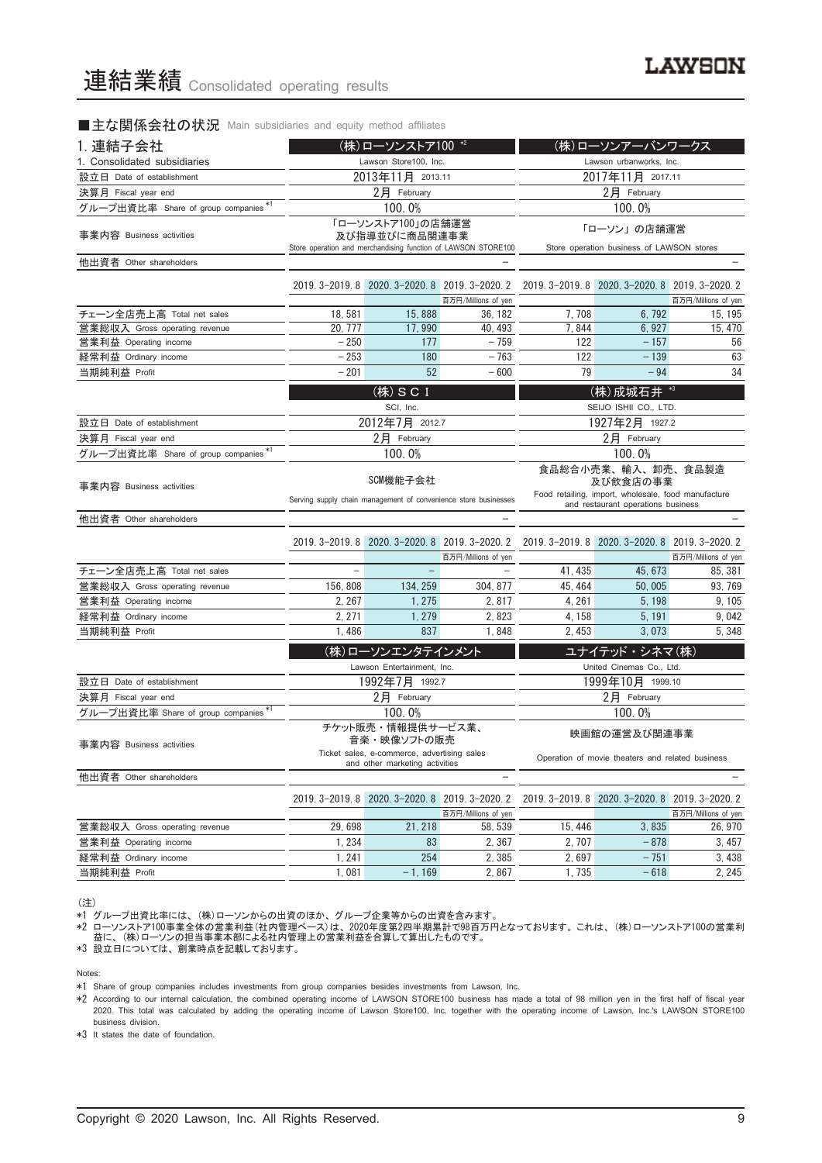#### ■主な関係会社の状況 Main subsidiaries and equity method affiliates

| 1. 連結子会社                             | (株)ローソンストア100 *2                                                              |                                                 |                                                                        | (株)ローソンアーバンワークス                                  |                                                                                       |                     |
|--------------------------------------|-------------------------------------------------------------------------------|-------------------------------------------------|------------------------------------------------------------------------|--------------------------------------------------|---------------------------------------------------------------------------------------|---------------------|
| 1. Consolidated subsidiaries         | Lawson Store100, Inc.                                                         |                                                 |                                                                        |                                                  | Lawson urbanworks, Inc.                                                               |                     |
| 設立日 Date of establishment            |                                                                               | 2013年11月 2013.11                                |                                                                        |                                                  | 2017年11月 2017.11                                                                      |                     |
| 決算月 Fiscal year end                  |                                                                               | 2月 February                                     |                                                                        |                                                  | $2$ 月 February                                                                        |                     |
| グループ出資比率 Share of group companies *1 |                                                                               | 100.0%                                          |                                                                        |                                                  | 100.0%                                                                                |                     |
| 事業内容 Business activities             | 「ローソンストア100」の店舗運営<br>及び指導並びに商品関連事業                                            |                                                 |                                                                        | 「ローソン」の店舗運営                                      |                                                                                       |                     |
| 他出資者 Other shareholders              |                                                                               |                                                 | Store operation and merchandising function of LAWSON STORE100          |                                                  | Store operation business of LAWSON stores                                             |                     |
|                                      |                                                                               |                                                 |                                                                        |                                                  |                                                                                       |                     |
|                                      |                                                                               |                                                 | 2019. 3-2019. 8 2020. 3-2020. 8 2019. 3-2020. 2<br>百万円/Millions of yen |                                                  | 2019. 3-2019. 8 2020. 3-2020. 8 2019. 3-2020. 2                                       | 百万円/Millions of yen |
| チェーン全店売上高 Total net sales            | 18,581                                                                        | 15,888                                          | 36.182                                                                 | 7.708                                            | 6.792                                                                                 | 15, 195             |
| 営業総収入 Gross operating revenue        | 20, 777                                                                       | 17,990                                          | 40, 493                                                                | 7,844                                            | 6,927                                                                                 | 15, 470             |
| 営業利益 Operating income                | $-250$                                                                        | 177                                             | $-759$                                                                 | 122                                              | $-157$                                                                                | 56                  |
| 経常利益 Ordinary income                 | $-253$                                                                        | 180                                             | $-763$                                                                 | 122                                              | $-139$                                                                                | 63                  |
| 当期純利益 Profit                         | $-201$                                                                        | 52                                              | $-600$                                                                 | 79                                               | $-94$                                                                                 | 34                  |
|                                      |                                                                               | (株) SCI                                         |                                                                        |                                                  | (株)成城石井 *3                                                                            |                     |
|                                      |                                                                               | SCI, Inc.                                       |                                                                        |                                                  | SEIJO ISHII CO., LTD.                                                                 |                     |
| 設立日 Date of establishment            |                                                                               | 2012年7月 2012.7                                  |                                                                        |                                                  | 1927年2月 1927.2                                                                        |                     |
| 決算月 Fiscal year end                  |                                                                               | $2$ 月 February                                  |                                                                        | $2$ 月 February                                   |                                                                                       |                     |
| グループ出資比率 Share of group companies*   |                                                                               | 100.0%                                          |                                                                        |                                                  | 100.0%                                                                                |                     |
| 事業内容 Business activities             |                                                                               | SCM機能子会社                                        |                                                                        |                                                  | 食品総合小売業、輸入、卸売、食品製造<br>及び飲食店の事業<br>Food retailing, import, wholesale, food manufacture |                     |
|                                      |                                                                               |                                                 | Serving supply chain management of convenience store businesses        |                                                  | and restaurant operations business                                                    |                     |
| 他出資者 Other shareholders              |                                                                               |                                                 |                                                                        |                                                  |                                                                                       |                     |
|                                      |                                                                               | 2019. 3-2019. 8 2020. 3-2020. 8 2019. 3-2020. 2 |                                                                        |                                                  | 2019. 3-2019. 8 2020. 3-2020. 8 2019. 3-2020. 2                                       |                     |
|                                      |                                                                               |                                                 | 百万円/Millions of yen                                                    |                                                  |                                                                                       | 百万円/Millions of yen |
| チェーン全店売上高 Total net sales            |                                                                               |                                                 |                                                                        | 41, 435                                          | 45.673                                                                                | 85, 381             |
| 営業総収入 Gross operating revenue        | 156, 808                                                                      | 134, 259                                        | 304, 877                                                               | 45, 464                                          | 50,005                                                                                | 93, 769             |
| 営業利益 Operating income                | 2.267                                                                         | 1, 275                                          | 2.817                                                                  | 4, 261                                           | 5, 198                                                                                | 9, 105              |
| 経常利益 Ordinary income                 | 2, 271                                                                        | 1.279                                           | 2.823                                                                  | 4, 158                                           | 5, 191                                                                                | 9,042               |
| 当期純利益 Profit                         | 1,486                                                                         | 837                                             | 1,848                                                                  | 2, 453                                           | 3,073                                                                                 | 5, 348              |
|                                      |                                                                               | (株)ローソンエンタテインメント                                |                                                                        |                                                  | ユナイテッド・シネマ(株)                                                                         |                     |
|                                      |                                                                               | Lawson Entertainment, Inc.                      |                                                                        |                                                  | United Cinemas Co., Ltd.                                                              |                     |
| 設立日 Date of establishment            |                                                                               | 1992年7月 1992.7                                  |                                                                        |                                                  | 1999年10月 1999.10                                                                      |                     |
| 決算月 Fiscal year end                  |                                                                               | $2$ 月 February                                  |                                                                        |                                                  | $2$ 月 February                                                                        |                     |
| グループ出資比率 Share of group companies*1  |                                                                               | 100.0%                                          |                                                                        |                                                  | 100.0%                                                                                |                     |
|                                      |                                                                               | チケット販売・情報提供サービス業、                               |                                                                        |                                                  | 映画館の運営及び関連事業                                                                          |                     |
| 事業内容 Business activities             |                                                                               | 音楽・映像ソフトの販売                                     |                                                                        |                                                  |                                                                                       |                     |
|                                      | Ticket sales, e-commerce, advertising sales<br>and other marketing activities |                                                 |                                                                        | Operation of movie theaters and related business |                                                                                       |                     |
| 他出資者 Other shareholders              |                                                                               |                                                 |                                                                        |                                                  |                                                                                       |                     |
|                                      |                                                                               |                                                 | 2019. 3-2019. 8 2020. 3-2020. 8 2019. 3-2020. 2                        | 2019. 3-2019. 8 2020. 3-2020. 8 2019. 3-2020. 2  |                                                                                       |                     |
|                                      |                                                                               |                                                 | 百万円/Millions of yen                                                    |                                                  |                                                                                       | 百万円/Millions of yen |
| 営業総収入 Gross operating revenue        | 29,698                                                                        | 21, 218                                         | 58.539                                                                 | 15, 446                                          | 3,835                                                                                 | 26, 970             |
| 営業利益 Operating income                | 1,234                                                                         | 83                                              | 2,367                                                                  | 2,707                                            | $-878$                                                                                | 3, 457              |

(注)

\*1 グループ出資比率には、 (株)ローソンからの出資のほか、 グループ企業等からの出資を含みます。

\*2 ローソンストア100事業全体の営業利益(社内管理ベース)は、 2020年度第2四半期累計で98百万円となっております。 これは、 (株)ローソンストア100の営業利 益に、 (株)ローソンの担当事業本部による社内管理上の営業利益を合算して算出したものです。

<u>経常利益 Ordinary income the top of the control of the control of the control of the control of the control of</u> the control of the control of the control of the control of the control of the control of the control of the co 当期純利益 Profit 1,081 -1,169 2,867 1,735 -618 2,245

\*3 設立日については、 創業時点を記載しております。

Notes:

\*1 Share of group companies includes investments from group companies besides investments from Lawson, Inc.

\*2 According to our internal calculation, the combined operating income of LAWSON STORE100 business has made a total of 98 million yen in the first half of fiscal year 2020. This total was calculated by adding the operating income of Lawson Store100, Inc. together with the operating income of Lawson, Inc.'s LAWSON STORE100 business division.

\*3 It states the date of foundation.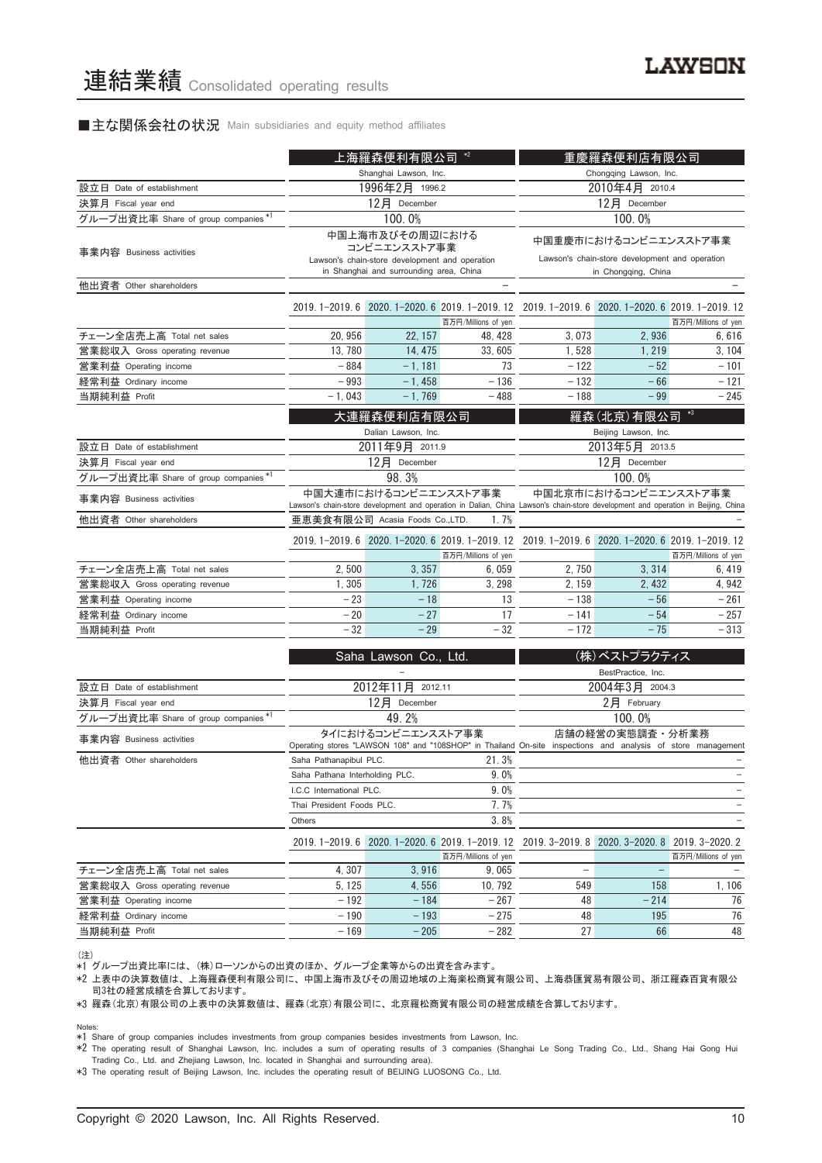#### ■主な関係会社の状況 Main subsidiaries and equity method affiliates

|                                      | 上海羅森便利有限公司 *2                  |                                                                                                                              |                               |                                                                                                                                  | 重慶羅森便利店有限公司           |                               |
|--------------------------------------|--------------------------------|------------------------------------------------------------------------------------------------------------------------------|-------------------------------|----------------------------------------------------------------------------------------------------------------------------------|-----------------------|-------------------------------|
|                                      | Shanghai Lawson, Inc.          |                                                                                                                              |                               | Chongqing Lawson, Inc.                                                                                                           |                       |                               |
| 設立日 Date of establishment            | 1996年2月 1996.2                 |                                                                                                                              |                               | 2010年4月 2010.4                                                                                                                   |                       |                               |
| 決算月 Fiscal year end                  |                                | 12月 December                                                                                                                 |                               | 12月 December                                                                                                                     |                       |                               |
| グループ出資比率 Share of group companies*1  |                                | 100.0%                                                                                                                       |                               |                                                                                                                                  | 100.0%                |                               |
| 事業内容 Business activities             |                                | 中国上海市及びその周辺における<br>コンビニエンスストア事業<br>Lawson's chain-store development and operation<br>in Shanghai and surrounding area, China |                               | 中国重慶市におけるコンビニエンスストア事業<br>Lawson's chain-store development and operation                                                          |                       |                               |
| 他出資者 Other shareholders              |                                |                                                                                                                              |                               |                                                                                                                                  | in Chongqing, China   |                               |
|                                      |                                |                                                                                                                              |                               | 2019.1-2019.6 2020.1-2020.6 2019.1-2019.12 2019.1-2019.6 2020.1-2020.6 2019.1-2019.12                                            |                       |                               |
| チェーン全店売上高 Total net sales            | 20,956                         | 22.157                                                                                                                       | 百万円/Millions of yen<br>48.428 | 3,073                                                                                                                            | 2,936                 | 百万円/Millions of yen<br>6,616  |
| 営業総収入 Gross operating revenue        | 13.780                         | 14.475                                                                                                                       | 33.605                        | 1.528                                                                                                                            | 1.219                 | 3, 104                        |
| 営業利益 Operating income                | $-884$                         | $-1.181$                                                                                                                     | 73                            | $-122$                                                                                                                           | $-52$                 | $-101$                        |
| 経常利益 Ordinary income                 | $-993$                         | $-1,458$                                                                                                                     | $-136$                        | $-132$                                                                                                                           | $-66$                 | $-121$                        |
| 当期純利益 Profit                         | $-1,043$                       | $-1,769$                                                                                                                     | $-488$                        | $-188$                                                                                                                           | $-99$                 | $-245$                        |
|                                      |                                | 大連羅森便利店有限公司                                                                                                                  |                               |                                                                                                                                  |                       |                               |
|                                      |                                | Dalian Lawson, Inc.                                                                                                          |                               | 羅森(北京)有限公司 *3<br>Beijing Lawson, Inc.                                                                                            |                       |                               |
| 設立日 Date of establishment            |                                | 2011年9月 2011.9                                                                                                               |                               | 2013年5月 2013.5                                                                                                                   |                       |                               |
| 決算月 Fiscal year end                  |                                | 12月 December                                                                                                                 |                               | 12月 December                                                                                                                     |                       |                               |
| グループ出資比率 Share of group companies *1 |                                | 98.3%                                                                                                                        |                               |                                                                                                                                  | 100.0%                |                               |
| 事業内容 Business activities             |                                | 中国大連市におけるコンビニエンスストア事業                                                                                                        |                               | Lawson's chain-store development and operation in Dalian, China Lawson's chain-store development and operation in Beijing, China | 中国北京市におけるコンビニエンスストア事業 |                               |
| 他出資者 Other shareholders              |                                | 亜恵美食有限公司 Acasia Foods Co.,LTD.                                                                                               | 1.7%                          |                                                                                                                                  |                       |                               |
|                                      |                                |                                                                                                                              |                               | 2019.1-2019.6 2020.1-2020.6 2019.1-2019.12 2019.1-2019.6 2020.1-2020.6 2019.1-2019.12                                            |                       |                               |
| チェーン全店売上高 Total net sales            | 2,500                          | 3,357                                                                                                                        | 百万円/Millions of yen<br>6,059  | 2,750                                                                                                                            | 3,314                 | 百万円/Millions of yen<br>6, 419 |
| 営業総収入 Gross operating revenue        | 1.305                          | 1.726                                                                                                                        | 3.298                         | 2.159                                                                                                                            | 2.432                 | 4.942                         |
| 営業利益 Operating income                | $-23$                          | $-18$                                                                                                                        | 13                            | $-138$                                                                                                                           | $-56$                 | $-261$                        |
| 経常利益 Ordinary income                 | $-20$                          | $-27$                                                                                                                        | 17                            | $-141$                                                                                                                           | $-54$                 | $-257$                        |
| 当期純利益 Profit                         | $-32$                          | $-29$                                                                                                                        | $-32$                         | $-172$                                                                                                                           | $-75$                 | $-313$                        |
|                                      |                                | Saha Lawson Co., Ltd.                                                                                                        |                               |                                                                                                                                  | (株)ベストプラクティス          |                               |
|                                      |                                |                                                                                                                              |                               |                                                                                                                                  | BestPractice, Inc.    |                               |
| 設立日 Date of establishment            |                                | 2012年11月 2012.11                                                                                                             |                               |                                                                                                                                  | 2004年3月 2004.3        |                               |
| 決算月 Fiscal year end                  |                                | 12月 December                                                                                                                 |                               |                                                                                                                                  | $2$ 月 February        |                               |
| グループ出資比率 Share of group companies *1 |                                | 49.2%                                                                                                                        |                               |                                                                                                                                  | 100.0%                |                               |
| 事業内容 Business activities             |                                | タイにおけるコンビニエンスストア事業                                                                                                           |                               | Operating stores "LAWSON 108" and "108SHOP" in Thailand On-site inspections and analysis of store management                     | 店舗の経営の実態調査・分析業務       |                               |
| 他出資者 Other shareholders              | Saha Pathanapibul PLC.         |                                                                                                                              | 21.3%                         |                                                                                                                                  |                       |                               |
|                                      | Saha Pathana Interholding PLC. |                                                                                                                              | 9.0%                          |                                                                                                                                  |                       |                               |

|                               | 9.0%<br>I.C.C International PLC. |                                   |                                                                                      |     |        |                     |  |
|-------------------------------|----------------------------------|-----------------------------------|--------------------------------------------------------------------------------------|-----|--------|---------------------|--|
|                               |                                  | 7.7%<br>Thai President Foods PLC. |                                                                                      |     |        |                     |  |
|                               | Others                           | 3.8%                              |                                                                                      |     |        |                     |  |
|                               |                                  |                                   | 2019.1-2019.6 2020.1-2020.6 2019.1-2019.12 2019.3-2019.8 2020.3-2020.8 2019.3-2020.2 |     |        |                     |  |
|                               |                                  |                                   | 百万円/Millions of yen                                                                  |     |        | 百万円/Millions of yen |  |
| チェーン全店売上高 Total net sales     | 4.307                            | 3.916                             | 9.065                                                                                |     |        |                     |  |
| 営業総収入 Gross operating revenue | 5.125                            | 4.556                             | 10.792                                                                               | 549 | 158    | 1.106               |  |
| 営業利益 Operating income         | $-192$                           | $-184$                            | $-267$                                                                               | 48  | $-214$ | 76                  |  |
| 経常利益 Ordinary income          | $-190$                           | $-193$                            | $-275$                                                                               | 48  | 195    | 76                  |  |
| 当期純利益 Profit                  | $-169$                           | $-205$                            | $-282$                                                                               | 27  | 66     | 48                  |  |
|                               |                                  |                                   |                                                                                      |     |        |                     |  |

(注) \*1 グループ出資比率には、 (株)ローソンからの出資のほか、 グループ企業等からの出資を含みます。

\*2 上表中の決算数値は、 上海羅森便利有限公司に、 中国上海市及びその周辺地域の上海楽松商貿有限公司、 上海恭匯貿易有限公司、 浙江羅森百貨有限公 司3社の経営成績を合算しております。

\*3 羅森(北京)有限公司の上表中の決算数値は、 羅森(北京)有限公司に、 北京羅松商貿有限公司の経営成績を合算しております。

Notes: \*1 Share of group companies includes investments from group companies besides investments from Lawson, Inc.

\*2 The operating result of Shanghai Lawson, Inc. includes a sum of operating results of 3 companies (Shanghai Le Song Trading Co., Ltd., Shang Hai Gong Hui Trading Co., Ltd. and Zhejiang Lawson, Inc. located in Shanghai and surrounding area).

\*3 The operating result of Beijing Lawson, Inc. includes the operating result of BEIJING LUOSONG Co., Ltd.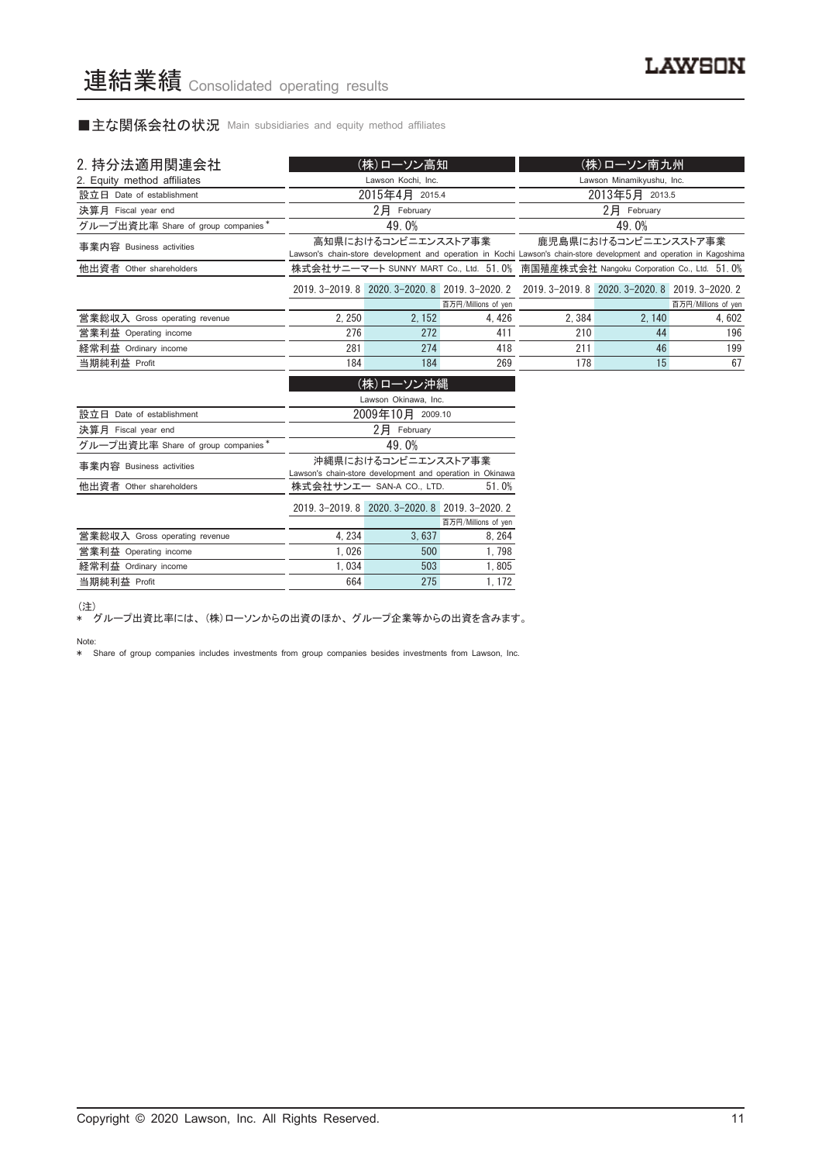■主な関係会社の状況 Main subsidiaries and equity method affiliates

| 2. 持分法適用関連会社                       |        | (株)ローソン高知                                       |                                                           |                                                                                                                     | (株)ローソン南九州                                      |                     |
|------------------------------------|--------|-------------------------------------------------|-----------------------------------------------------------|---------------------------------------------------------------------------------------------------------------------|-------------------------------------------------|---------------------|
| 2. Equity method affiliates        |        | Lawson Kochi, Inc.                              |                                                           |                                                                                                                     | Lawson Minamikyushu, Inc.                       |                     |
| 設立日 Date of establishment          |        | 2015年4月 2015.4                                  |                                                           |                                                                                                                     | 2013年5月 2013.5                                  |                     |
| 決算月 Fiscal year end                |        | $2$ $H$ February                                |                                                           |                                                                                                                     | 2月 February                                     |                     |
| グループ出資比率 Share of group companies* |        | 49.0%                                           |                                                           |                                                                                                                     | 49.0%                                           |                     |
| 事業内容 Business activities           |        | 高知県におけるコンビニエンスストア事業                             |                                                           | Lawson's chain-store development and operation in Kochi Lawson's chain-store development and operation in Kagoshima | 鹿児島県におけるコンビニエンスストア事業                            |                     |
| 他出資者 Other shareholders            |        |                                                 |                                                           | 株式会社サニ—マ—ト SUNNY MART Co., Ltd. 51.0% 南国殖産株式会社 Nangoku Corporation Co., Ltd. 51.0%                                  |                                                 |                     |
|                                    |        |                                                 | 2019. 3-2019. 8 2020. 3-2020. 8 2019. 3-2020. 2           |                                                                                                                     | 2019. 3-2019. 8 2020. 3-2020. 8 2019. 3-2020. 2 |                     |
|                                    |        |                                                 | 百万円/Millions of yen                                       |                                                                                                                     |                                                 | 百万円/Millions of yen |
| 営業総収入 Gross operating revenue      | 2, 250 | 2, 152                                          | 4,426                                                     | 2,384                                                                                                               | 2, 140                                          | 4,602               |
| 営業利益 Operating income              | 276    | 272                                             | 411                                                       | 210                                                                                                                 | 44                                              | 196                 |
| 経常利益 Ordinary income               | 281    | 274                                             | 418                                                       | 211                                                                                                                 | 46                                              | 199                 |
| 当期純利益 Profit                       | 184    | 184                                             | 269                                                       | 178                                                                                                                 | 15                                              | 67                  |
|                                    |        | (株)ローソン沖縄                                       |                                                           |                                                                                                                     |                                                 |                     |
|                                    |        | Lawson Okinawa, Inc.                            |                                                           |                                                                                                                     |                                                 |                     |
| 設立日 Date of establishment          |        | 2009年10月 2009.10                                |                                                           |                                                                                                                     |                                                 |                     |
| 決算月 Fiscal year end                |        | 2月 February                                     |                                                           |                                                                                                                     |                                                 |                     |
| グループ出資比率 Share of group companies* |        | 49.0%                                           |                                                           |                                                                                                                     |                                                 |                     |
| 事業内容 Business activities           |        | 沖縄県におけるコンビニエンスストア事業                             | Lawson's chain-store development and operation in Okinawa |                                                                                                                     |                                                 |                     |
| 他出資者 Other shareholders            |        | 株式会社サンエー SAN-A CO., LTD.                        | 51.0%                                                     |                                                                                                                     |                                                 |                     |
|                                    |        | 2019. 3-2019. 8 2020. 3-2020. 8 2019. 3-2020. 2 |                                                           |                                                                                                                     |                                                 |                     |
|                                    |        |                                                 | 百万円/Millions of yen                                       |                                                                                                                     |                                                 |                     |
| 営業総収入 Gross operating revenue      | 4, 234 | 3,637                                           | 8, 264                                                    |                                                                                                                     |                                                 |                     |
| 営業利益 Operating income              | 1.026  | 500                                             | 1.798                                                     |                                                                                                                     |                                                 |                     |
| 経常利益 Ordinary income               | 1,034  | 503                                             | 1,805                                                     |                                                                                                                     |                                                 |                     |

(注)

\* グループ出資比率には、 (株)ローソンからの出資のほか、 グループ企業等からの出資を含みます。

**当期純利益 Profit 275 275 275 275 1,172** 

Note: \* Share of group companies includes investments from group companies besides investments from Lawson, Inc.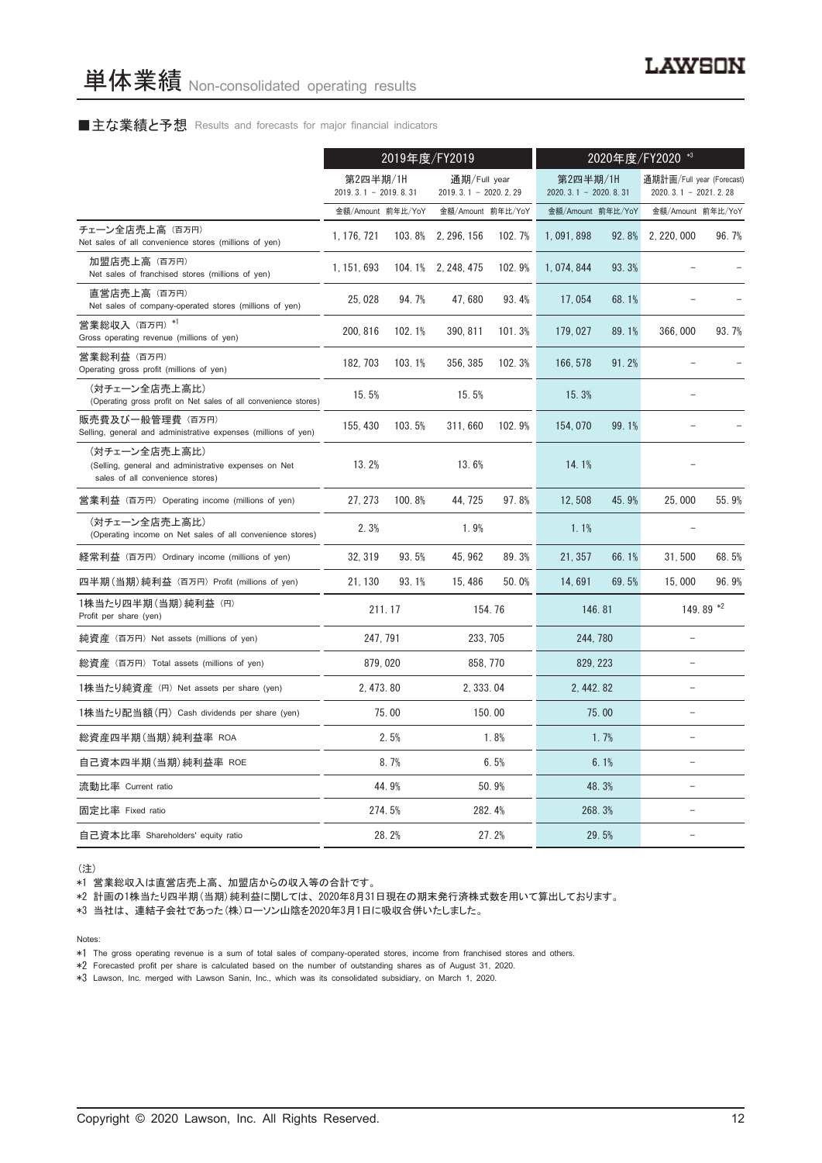#### ■主な業績と予想 Results and forecasts for major financial indicators

|                                                                                                           | 2019年度/FY2019                      |          |                                          |                  | 2020年度/FY2020 *3                   |           |                                                     |       |
|-----------------------------------------------------------------------------------------------------------|------------------------------------|----------|------------------------------------------|------------------|------------------------------------|-----------|-----------------------------------------------------|-------|
|                                                                                                           | 第2四半期/1H<br>$2019.3.1 - 2019.8.31$ |          | 通期/Full year<br>2019. 3. 1 - 2020. 2. 29 |                  | 第2四半期/1H<br>$2020.3.1 - 2020.8.31$ |           | 通期計画/Full year (Forecast)<br>$2020.3.1 - 2021.2.28$ |       |
|                                                                                                           | 金額/Amount 前年比/YoY                  |          | 金額/Amount 前年比/YoY                        |                  | 金額/Amount 前年比/YoY                  |           | 金額/Amount 前年比/YoY                                   |       |
| チェーン全店売上高 (百万円)<br>Net sales of all convenience stores (millions of yen)                                  | 1, 176, 721                        | 103.8%   | 2, 296, 156                              | 102.7%           | 1,091,898                          | 92.8%     | 2, 220, 000                                         | 96.7% |
| 加盟店売上高(百万円)<br>Net sales of franchised stores (millions of yen)                                           | 1.151.693                          |          | 104.1% 2, 248, 475                       | 102.9%           | 1, 074, 844                        | 93.3%     |                                                     |       |
| 直営店売上高(百万円)<br>Net sales of company-operated stores (millions of yen)                                     | 25,028                             | 94.7%    | 47,680                                   | 93.4%            | 17,054                             | 68.1%     |                                                     |       |
| 営業総収入 (百万円) *1<br>Gross operating revenue (millions of yen)                                               | 200, 816                           | 102.1%   | 390, 811                                 | 101.3%           | 179, 027                           | 89.1%     | 366,000                                             | 93.7% |
| 営業総利益 (百万円)<br>Operating gross profit (millions of yen)                                                   | 182.703                            | 103.1%   | 356, 385                                 | 102.3%           | 166.578                            | 91.2%     |                                                     |       |
| (対チェーン全店売上高比)<br>(Operating gross profit on Net sales of all convenience stores)                          | 15.5%                              |          | 15.5%                                    |                  | 15.3%                              |           |                                                     |       |
| 販売費及び一般管理費 (百万円)<br>Selling, general and administrative expenses (millions of yen)                        | 155, 430                           | 103.5%   | 311,660                                  | 102.9%           | 154, 070                           | 99.1%     |                                                     |       |
| (対チェーン全店売上高比)<br>(Selling, general and administrative expenses on Net<br>sales of all convenience stores) | 13.2%                              |          | 13.6%                                    |                  | 14.1%                              |           |                                                     |       |
| 営業利益 (百万円) Operating income (millions of yen)                                                             | 27.273                             | 100.8%   | 44.725                                   | 97.8%            | 12.508                             | 45.9%     | 25.000                                              | 55.9% |
| (対チェーン全店売上高比)<br>(Operating income on Net sales of all convenience stores)                                | 2.3%                               |          | 1.9%                                     |                  | 1.1%                               |           |                                                     |       |
| 経常利益 (百万円) Ordinary income (millions of yen)                                                              | 32.319                             | 93.5%    | 45, 962                                  | 89.3%            | 21, 357                            | 66.1%     | 31,500                                              | 68.5% |
| 四半期(当期)純利益(百万円)Profit (millions of yen)                                                                   | 21.130                             | 93.1%    | 15.486                                   | 50.0%            | 14.691                             | 69.5%     | 15,000                                              | 96.9% |
| 1株当たり四半期 (当期) 純利益 (円)<br>Profit per share (yen)                                                           |                                    | 211.17   |                                          | 154.76<br>146.81 |                                    | 149.89 *2 |                                                     |       |
| 純資産 (百万円) Net assets (millions of yen)                                                                    | 247.791                            |          |                                          | 233.705          |                                    | 244, 780  |                                                     |       |
| 総資産 (百万円) Total assets (millions of yen)                                                                  |                                    | 879, 020 |                                          | 858, 770         |                                    | 829, 223  | $\equiv$                                            |       |
| 1株当たり純資産 (円) Net assets per share (yen)                                                                   | 2, 473, 80                         |          | 2, 333, 04                               |                  | 2, 442, 82                         |           |                                                     |       |
| 1株当たり配当額 (円) Cash dividends per share (yen)                                                               |                                    | 75.00    |                                          | 150.00           |                                    | 75.00     |                                                     |       |
| 総資産四半期(当期) 純利益率 ROA                                                                                       |                                    | 2.5%     |                                          | 1.8%             |                                    | 1.7%      | $\overline{\phantom{0}}$                            |       |
| 自己資本四半期(当期) 純利益率 ROE                                                                                      |                                    | 8.7%     |                                          | 6.5%             |                                    | 6.1%      | L.                                                  |       |
| 流動比率 Current ratio                                                                                        |                                    | 44.9%    |                                          | 50.9%            |                                    | 48.3%     | $\equiv$                                            |       |
| 固定比率 Fixed ratio                                                                                          |                                    | 274.5%   |                                          | 282.4%           |                                    | 268.3%    |                                                     |       |
| 自己資本比率 Shareholders' equity ratio                                                                         |                                    | 28.2%    |                                          | 27.2%            |                                    | 29.5%     | $\equiv$                                            |       |

(注)

\*1 営業総収入は直営店売上高、 加盟店からの収入等の合計です。

\*2 計画の1株当たり四半期(当期)純利益に関しては、 2020年8月31日現在の期末発行済株式数を用いて算出しております。

\*3 当社は、 連結子会社であった(株)ローソン山陰を2020年3月1日に吸収合併いたしました。

Notes:

\*1 The gross operating revenue is a sum of total sales of company-operated stores, income from franchised stores and others.

\*2 Forecasted profit per share is calculated based on the number of outstanding shares as of August 31, 2020.

\*3 Lawson, Inc. merged with Lawson Sanin, Inc., which was its consolidated subsidiary, on March 1, 2020.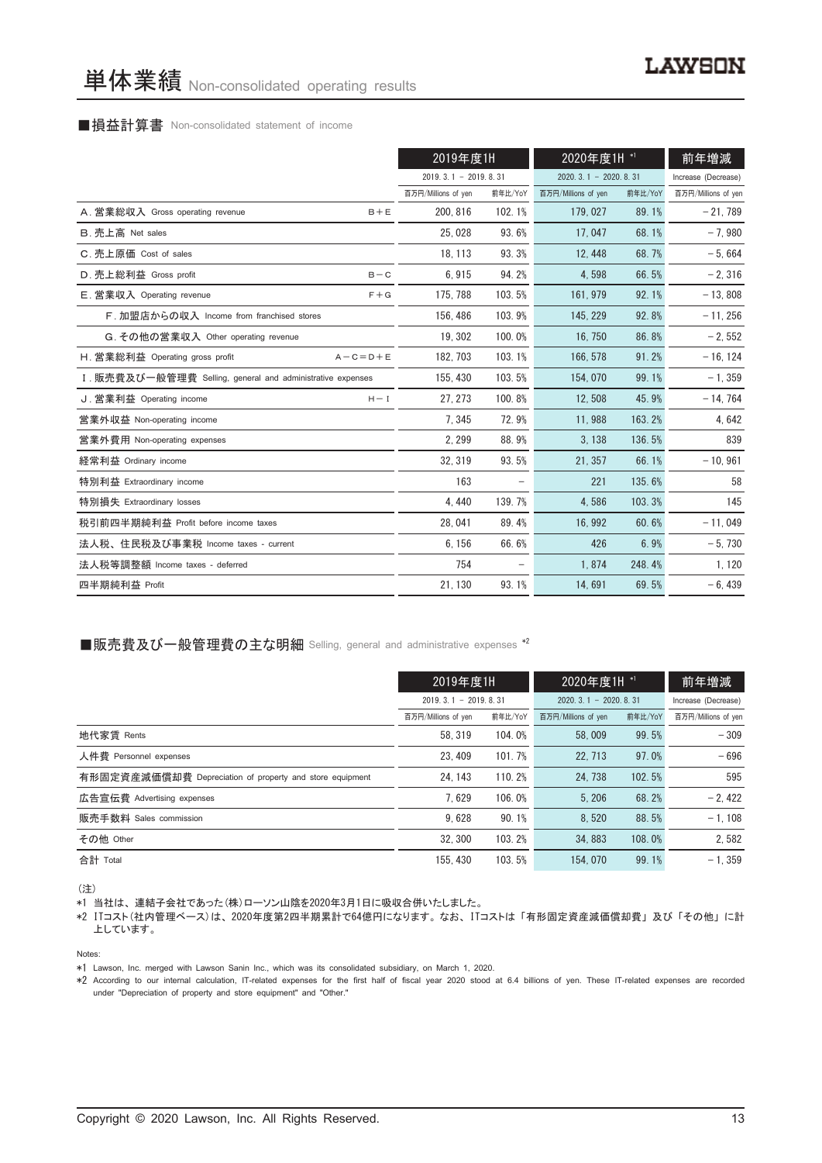#### ■損益計算書 Non-consolidated statement of income

|                                                            | 2019年度1H               |         | 2020年度1H *1            |         | 前年増減                |
|------------------------------------------------------------|------------------------|---------|------------------------|---------|---------------------|
|                                                            | $2019.3.1 - 2019.8.31$ |         | $2020.3.1 - 2020.8.31$ |         | Increase (Decrease) |
|                                                            | 百万円/Millions of yen    | 前年比/YoY | 百万円/Millions of yen    | 前年比/YoY | 百万円/Millions of yen |
| A. 営業総収入 Gross operating revenue<br>$B + E$                | 200, 816               | 102.1%  | 179, 027               | 89.1%   | $-21,789$           |
| B. 売上高 Net sales                                           | 25,028                 | 93.6%   | 17,047                 | 68.1%   | $-7,980$            |
| C. 売上原価 Cost of sales                                      | 18, 113                | 93.3%   | 12, 448                | 68.7%   | $-5,664$            |
| D. 売上総利益 Gross profit<br>$B - C$                           | 6,915                  | 94.2%   | 4,598                  | 66.5%   | $-2,316$            |
| E. 営業収入 Operating revenue<br>$F + G$                       | 175, 788               | 103.5%  | 161, 979               | 92.1%   | $-13,808$           |
| F. 加盟店からの収入 Income from franchised stores                  | 156, 486               | 103.9%  | 145.229                | 92.8%   | $-11, 256$          |
| G. その他の営業収入 Other operating revenue                        | 19, 302                | 100.0%  | 16, 750                | 86.8%   | $-2,552$            |
| H. 営業総利益 Operating gross profit<br>$A - C = D + E$         | 182, 703               | 103.1%  | 166, 578               | 91.2%   | $-16, 124$          |
| I. 販売費及び一般管理費 Selling, general and administrative expenses | 155, 430               | 103.5%  | 154, 070               | 99.1%   | $-1, 359$           |
| J. 営業利益 Operating income<br>$H - I$                        | 27.273                 | 100.8%  | 12.508                 | 45.9%   | $-14,764$           |
| 営業外収益 Non-operating income                                 | 7,345                  | 72.9%   | 11,988                 | 163.2%  | 4,642               |
| 営業外費用 Non-operating expenses                               | 2, 299                 | 88.9%   | 3, 138                 | 136.5%  | 839                 |
| 経常利益 Ordinary income                                       | 32.319                 | 93.5%   | 21.357                 | 66.1%   | $-10,961$           |
| 特別利益 Extraordinary income                                  | 163                    |         | 221                    | 135.6%  | 58                  |
| 特別損失 Extraordinary losses                                  | 4,440                  | 139.7%  | 4,586                  | 103.3%  | 145                 |
| 税引前四半期純利益 Profit before income taxes                       | 28,041                 | 89.4%   | 16, 992                | 60.6%   | $-11,049$           |
| 法人税、住民税及び事業税 Income taxes - current                        | 6.156                  | 66.6%   | 426                    | 6.9%    | $-5,730$            |
| 法人税等調整額 Income taxes - deferred                            | 754                    |         | 1,874                  | 248.4%  | 1, 120              |
| 四半期純利益 Profit                                              | 21, 130                | 93.1%   | 14,691                 | 69.5%   | $-6,439$            |

#### ■販売費及び一般管理費の主な明細 Selling, general and administrative expenses \*2

|                                                          | 2019年度1H               |         | 2020年度1H *1            |         | 前年増減                |
|----------------------------------------------------------|------------------------|---------|------------------------|---------|---------------------|
|                                                          | $2019.3.1 - 2019.8.31$ |         | $2020.3.1 - 2020.8.31$ |         | Increase (Decrease) |
|                                                          | 百万円/Millions of yen    | 前年比/YoY | 百万円/Millions of yen    | 前年比/YoY | 百万円/Millions of yen |
| 地代家賃 Rents                                               | 58.319                 | 104.0%  | 58,009                 | 99.5%   | $-309$              |
| 人件費 Personnel expenses                                   | 23.409                 | 101.7%  | 22.713                 | 97.0%   | $-696$              |
| 有形固定資産減価償却費 Depreciation of property and store equipment | 24.143                 | 110.2%  | 24.738                 | 102.5%  | 595                 |
| 広告宣伝費 Advertising expenses                               | 7.629                  | 106.0%  | 5.206                  | 68.2%   | $-2,422$            |
| 販売手数料 Sales commission                                   | 9.628                  | 90.1%   | 8,520                  | 88.5%   | $-1.108$            |
| その他 Other                                                | 32.300                 | 103.2%  | 34.883                 | 108.0%  | 2,582               |
| 合計 Total                                                 | 155, 430               | 103.5%  | 154.070                | 99.1%   | $-1.359$            |

(注)

\*1 当社は、 連結子会社であった(株)ローソン山陰を2020年3月1日に吸収合併いたしました。

\*2 ITコスト(社内管理ベース)は、 2020年度第2四半期累計で64億円になります。 なお、 ITコストは 「有形固定資産減価償却費」 及び 「その他」 に計 上しています。

Notes:

\*1 Lawson, Inc. merged with Lawson Sanin Inc., which was its consolidated subsidiary, on March 1, 2020.

\*2 According to our internal calculation, IT-related expenses for the first half of fiscal year 2020 stood at 6.4 billions of yen. These IT-related expenses are recorded under "Depreciation of property and store equipment" and "Other."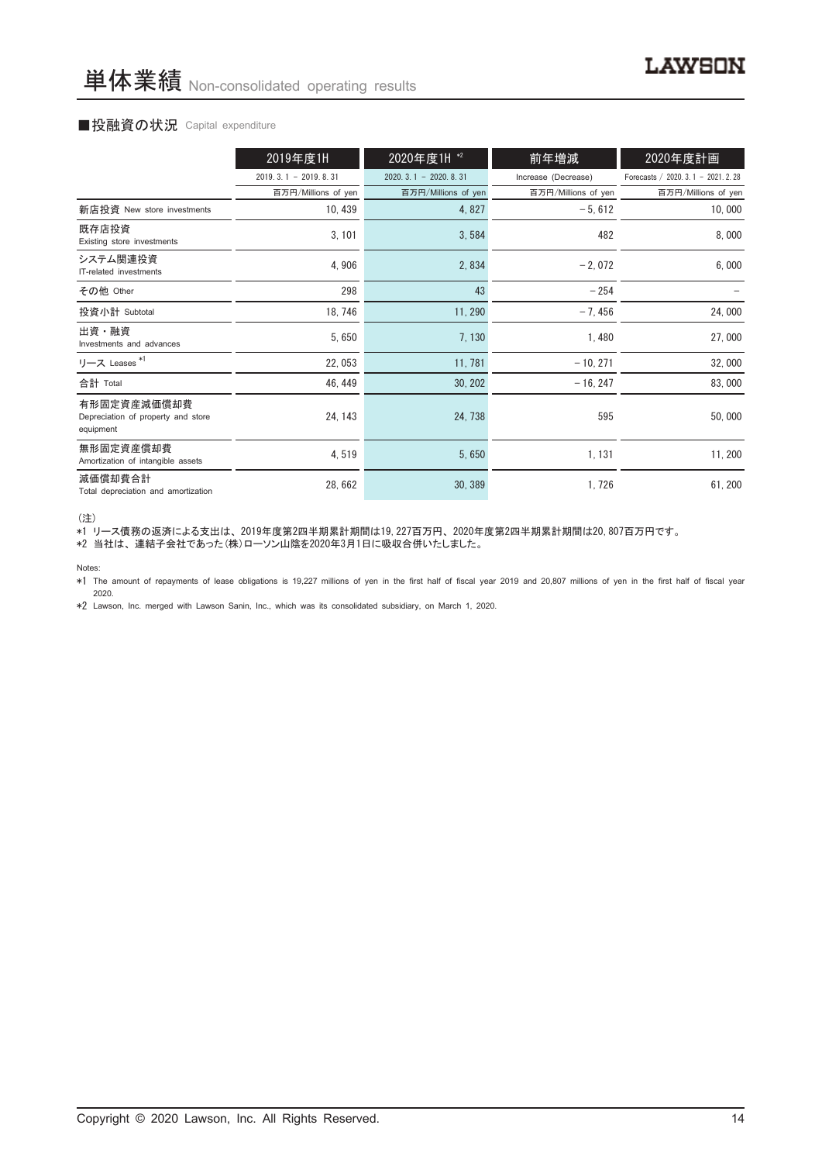#### ■投融資の状況 Capital expenditure

|                                                                | 2019年度1H               | 2020年度1H *2            | 前年増減                | 2020年度計画                           |
|----------------------------------------------------------------|------------------------|------------------------|---------------------|------------------------------------|
|                                                                | $2019.3.1 - 2019.8.31$ | $2020.3.1 - 2020.8.31$ | Increase (Decrease) | Forecasts / 2020. 3.1 - 2021. 2.28 |
|                                                                | 百万円/Millions of yen    | 百万円/Millions of yen    | 百万円/Millions of yen | 百万円/Millions of yen                |
| 新店投資 New store investments                                     | 10, 439                | 4,827                  | $-5,612$            | 10,000                             |
| 既存店投資<br>Existing store investments                            | 3, 101                 | 3,584                  | 482                 | 8,000                              |
| システム関連投資<br>IT-related investments                             | 4,906                  | 2,834                  | $-2,072$            | 6,000                              |
| その他 Other                                                      | 298                    | 43                     | $-254$              |                                    |
| 投資小計 Subtotal                                                  | 18, 746                | 11, 290                | $-7,456$            | 24,000                             |
| 出資・融資<br>Investments and advances                              | 5,650                  | 7,130                  | 1,480               | 27,000                             |
| リース Leases <sup>*1</sup>                                       | 22, 053                | 11, 781                | $-10, 271$          | 32,000                             |
| 合計 Total                                                       | 46, 449                | 30, 202                | $-16, 247$          | 83,000                             |
| 有形固定資産減価償却費<br>Depreciation of property and store<br>equipment | 24, 143                | 24, 738                | 595                 | 50,000                             |
| 無形固定資産償却費<br>Amortization of intangible assets                 | 4,519                  | 5,650                  | 1, 131              | 11, 200                            |
| 減価償却費合計<br>Total depreciation and amortization                 | 28,662                 | 30, 389                | 1,726               | 61, 200                            |

(注)

\*1 リース債務の返済による支出は、 2019年度第2四半期累計期間は19,227百万円、 2020年度第2四半期累計期間は20,807百万円です。

\*2 当社は、 連結子会社であった(株)ローソン山陰を2020年3月1日に吸収合併いたしました。

Notes:

\*1 The amount of repayments of lease obligations is 19,227 millions of yen in the first half of fiscal year 2019 and 20,807 millions of yen in the first half of fiscal year 2020.

\*2 Lawson, Inc. merged with Lawson Sanin, Inc., which was its consolidated subsidiary, on March 1, 2020.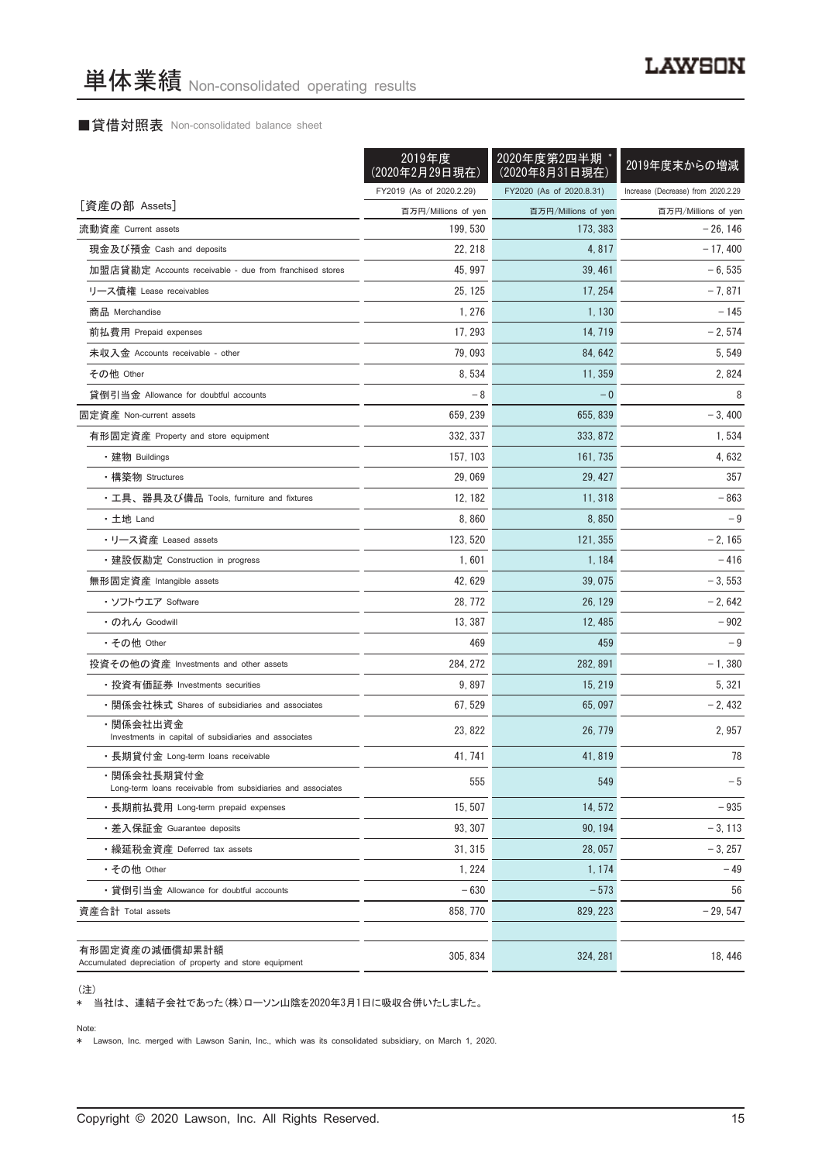#### ■貸借対照表 Non-consolidated balance sheet

|                                                                            | 2019年度<br>(2020年2月29日現在) | 2020年度第2四半期<br>(2020年8月31日現在) | 2019年度末からの増減                       |
|----------------------------------------------------------------------------|--------------------------|-------------------------------|------------------------------------|
|                                                                            | FY2019 (As of 2020.2.29) | FY2020 (As of 2020.8.31)      | Increase (Decrease) from 2020.2.29 |
| [資産の部 Assets]                                                              | 百万円/Millions of yen      | 百万円/Millions of yen           | 百万円/Millions of yen                |
| 流動資産 Current assets                                                        | 199, 530                 | 173, 383                      | $-26, 146$                         |
| 現金及び預金 Cash and deposits                                                   | 22, 218                  | 4, 817                        | $-17,400$                          |
| 加盟店貸勘定 Accounts receivable - due from franchised stores                    | 45, 997                  | 39, 461                       | $-6,535$                           |
| リース債権 Lease receivables                                                    | 25, 125                  | 17, 254                       | $-7,871$                           |
| 商品 Merchandise                                                             | 1, 276                   | 1, 130                        | - 145                              |
| 前払費用 Prepaid expenses                                                      | 17, 293                  | 14, 719                       | $-2,574$                           |
| 未収入金 Accounts receivable - other                                           | 79,093                   | 84, 642                       | 5, 549                             |
| その他 Other                                                                  | 8,534                    | 11, 359                       | 2,824                              |
| 貸倒引当金 Allowance for doubtful accounts                                      | - 8                      | $-0$                          | 8                                  |
| 固定資産 Non-current assets                                                    | 659, 239                 | 655, 839                      | $-3,400$                           |
| 有形固定資産 Property and store equipment                                        | 332, 337                 | 333, 872                      | 1,534                              |
| ・建物 Buildings                                                              | 157, 103                 | 161, 735                      | 4,632                              |
| ・構築物 Structures                                                            | 29,069                   | 29, 427                       | 357                                |
| ・工具、器具及び備品 Tools, furniture and fixtures                                   | 12, 182                  | 11, 318                       | $-863$                             |
| ・土地 Land                                                                   | 8,860                    | 8,850                         | - 9                                |
| ・リース資産 Leased assets                                                       | 123, 520                 | 121, 355                      | $-2,165$                           |
| ・建設仮勘定 Construction in progress                                            | 1,601                    | 1, 184                        | - 416                              |
| 無形固定資産 Intangible assets                                                   | 42, 629                  | 39, 075                       | $-3,553$                           |
| ・ソフトウエア Software                                                           | 28, 772                  | 26, 129                       | $-2,642$                           |
| ・のれん Goodwill                                                              | 13, 387                  | 12, 485                       | $-902$                             |
| ・その他 Other                                                                 | 469                      | 459                           | - 9                                |
| 投資その他の資産 Investments and other assets                                      | 284, 272                 | 282, 891                      | $-1,380$                           |
| ・投資有価証券 Investments securities                                             | 9,897                    | 15, 219                       | 5, 321                             |
| ・関係会社株式 Shares of subsidiaries and associates                              | 67, 529                  | 65, 097                       | $-2,432$                           |
| ・関係会社出資金<br>Investments in capital of subsidiaries and associates          | 23, 822                  | 26, 779                       | 2,957                              |
| ・長期貸付金 Long-term loans receivable                                          | 41, 741                  | 41, 819                       | 78                                 |
| ・関係会社長期貸付金<br>Long-term loans receivable from subsidiaries and associates  | 555                      | 549                           | $-5$                               |
| ・長期前払費用 Long-term prepaid expenses                                         | 15,507                   | 14, 572                       | $-935$                             |
| ・差入保証金 Guarantee deposits                                                  | 93, 307                  | 90, 194                       | $-3, 113$                          |
| ・繰延税金資産 Deferred tax assets                                                | 31, 315                  | 28.057                        | $-3, 257$                          |
| ・その他 Other                                                                 | 1, 224                   | 1, 174                        | $-49$                              |
| ・貸倒引当金 Allowance for doubtful accounts                                     | $-630$                   | $-573$                        | 56                                 |
| 資産合計 Total assets                                                          | 858, 770                 | 829, 223                      | $-29,547$                          |
| 有形固定資産の減価償却累計額<br>Accumulated depreciation of property and store equipment | 305, 834                 | 324, 281                      | 18, 446                            |

(注)

\* 当社は、 連結子会社であった(株)ローソン山陰を2020年3月1日に吸収合併いたしました。

Note:

\* Lawson, Inc. merged with Lawson Sanin, Inc., which was its consolidated subsidiary, on March 1, 2020.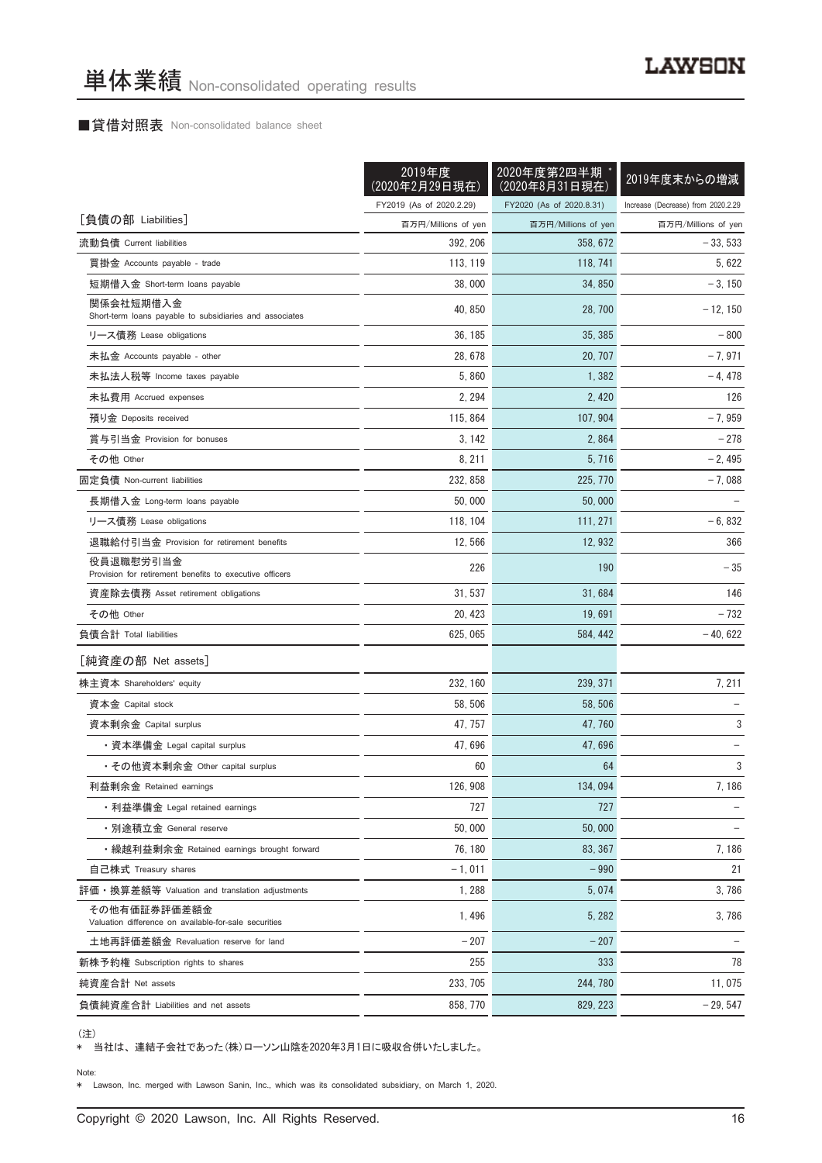#### ■貸借対照表 Non-consolidated balance sheet

|                                                                       | 2019年度<br><u>(2020年2月29日現在)</u> | 2020年度第2四半期<br>(2020年8月31日現在) | 2019年度末からの増減                       |
|-----------------------------------------------------------------------|---------------------------------|-------------------------------|------------------------------------|
|                                                                       | FY2019 (As of 2020.2.29)        | FY2020 (As of 2020.8.31)      | Increase (Decrease) from 2020.2.29 |
| [負債の部 Liabilities]                                                    | 百万円/Millions of yen             | 百万円/Millions of yen           | 百万円/Millions of yen                |
| 流動負債 Current liabilities                                              | 392, 206                        | 358, 672                      | $-33.533$                          |
| 買掛金 Accounts payable - trade                                          | 113, 119                        | 118, 741                      | 5, 622                             |
| 短期借入金 Short-term loans payable                                        | 38,000                          | 34,850                        | $-3, 150$                          |
| 関係会社短期借入金<br>Short-term loans payable to subsidiaries and associates  | 40, 850                         | 28, 700                       | $-12, 150$                         |
| リース債務 Lease obligations                                               | 36, 185                         | 35, 385                       | $-800$                             |
| 未払金 Accounts payable - other                                          | 28, 678                         | 20, 707                       | $-7,971$                           |
| 未払法人税等 Income taxes payable                                           | 5,860                           | 1,382                         | $-4,478$                           |
| 未払費用 Accrued expenses                                                 | 2, 294                          | 2,420                         | 126                                |
| 預り金 Deposits received                                                 | 115, 864                        | 107, 904                      | $-7,959$                           |
| 賞与引当金 Provision for bonuses                                           | 3, 142                          | 2,864                         | $-278$                             |
| その他 Other                                                             | 8, 211                          | 5, 716                        | $-2,495$                           |
| 固定負債 Non-current liabilities                                          | 232, 858                        | 225, 770                      | $-7,088$                           |
| 長期借入金 Long-term loans payable                                         | 50,000                          | 50,000                        |                                    |
| リース債務 Lease obligations                                               | 118, 104                        | 111, 271                      | $-6,832$                           |
| 退職給付引当金 Provision for retirement benefits                             | 12,566                          | 12,932                        | 366                                |
| 役員退職慰労引当金<br>Provision for retirement benefits to executive officers  | 226                             | 190                           | $-35$                              |
| 資産除去債務 Asset retirement obligations                                   | 31, 537                         | 31,684                        | 146                                |
| その他 Other                                                             | 20, 423                         | 19,691                        | $-732$                             |
| 負債合計 Total liabilities                                                | 625, 065                        | 584, 442                      | $-40,622$                          |
| [純資産の部 Net assets]                                                    |                                 |                               |                                    |
| 株主資本 Shareholders' equity                                             | 232, 160                        | 239, 371                      | 7, 211                             |
| 資本金 Capital stock                                                     | 58, 506                         | 58, 506                       |                                    |
| 資本剰余金 Capital surplus                                                 | 47, 757                         | 47, 760                       | 3                                  |
| ・資本準備金 Legal capital surplus                                          | 47,696                          | 47,696                        |                                    |
| ・その他資本剰余金 Other capital surplus                                       | 60                              | 64                            | 3                                  |
| 利益剰余金 Retained earnings                                               | 126, 908                        | 134,094                       | 7,186                              |
| ・利益準備金 Legal retained earnings                                        | 727                             | 727                           |                                    |
| • 別途積立金 General reserve                                               | 50,000                          | 50,000                        |                                    |
| ・繰越利益剰余金 Retained earnings brought forward                            | 76, 180                         | 83, 367                       | 7,186                              |
| 自己株式 Treasury shares                                                  | $-1,011$                        | $-990$                        | 21                                 |
| 評価・換算差額等 Valuation and translation adjustments                        | 1,288                           | 5,074                         | 3,786                              |
| その他有価証券評価差額金<br>Valuation difference on available-for-sale securities | 1,496                           | 5, 282                        | 3,786                              |
| 土地再評価差額金 Revaluation reserve for land                                 | $-207$                          | $-207$                        |                                    |
| 新株予約権 Subscription rights to shares                                   | 255                             | 333                           | 78                                 |
| 純資産合計 Net assets                                                      | 233, 705                        | 244, 780                      | 11,075                             |
| 負債純資産合計 Liabilities and net assets                                    | 858, 770                        | 829, 223                      | $-29,547$                          |

<sup>(</sup>注)

\* 当社は、 連結子会社であった(株)ローソン山陰を2020年3月1日に吸収合併いたしました。

\* Lawson, Inc. merged with Lawson Sanin, Inc., which was its consolidated subsidiary, on March 1, 2020.

Note: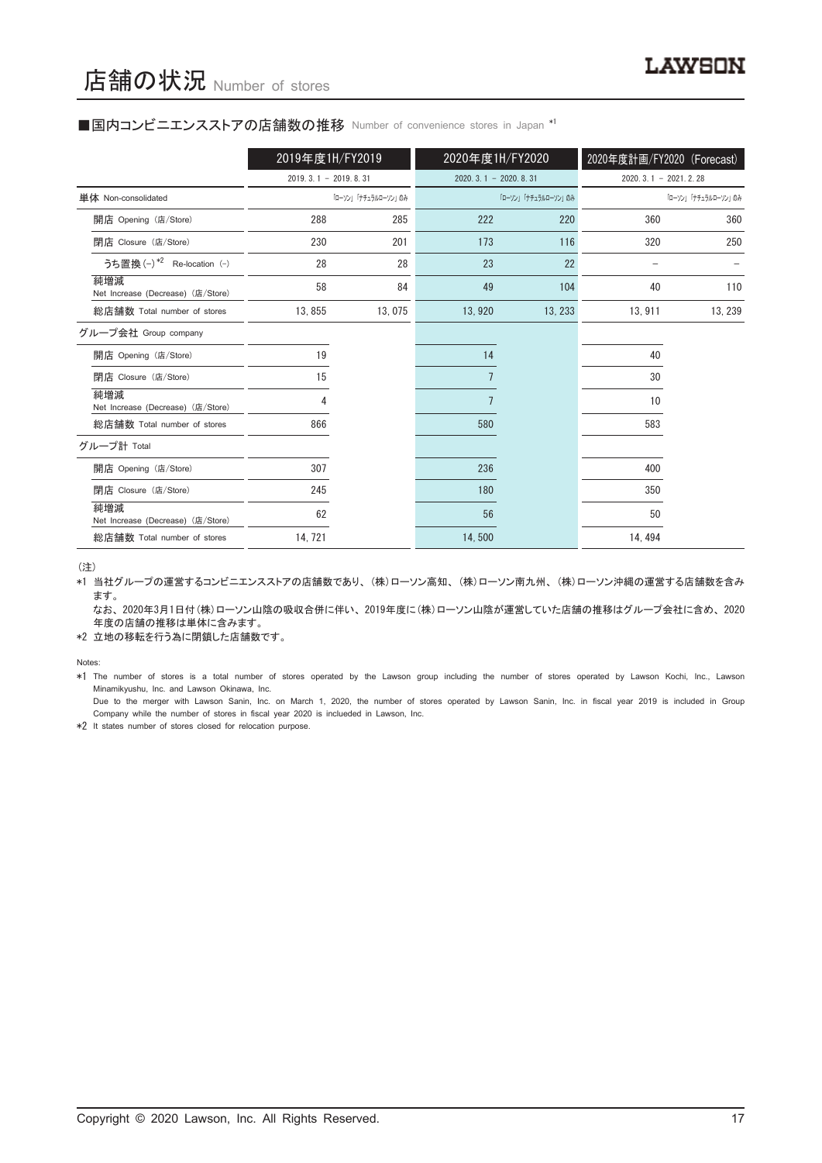#### ■国内コンビニエンスストアの店舗数の推移 Number of convenience stores in Japan \*1

|                                          | 2019年度1H/FY2019        |                     | 2020年度1H/FY2020            |                     | 2020年度計画/FY2020 (Forecast) |                     |
|------------------------------------------|------------------------|---------------------|----------------------------|---------------------|----------------------------|---------------------|
|                                          | $2019.3.1 - 2019.8.31$ |                     | $2020, 3, 1 - 2020, 8, 31$ |                     | $2020.3.1 - 2021.2.28$     |                     |
| 単体 Non-consolidated                      |                        | 「ローソン」「ナチュラルローソン」のみ |                            | 「ローソン」「ナチュラルローソン」のみ |                            | 「ローソン」「ナチュラルローソン」のみ |
| 開店 Opening (店/Store)                     | 288                    | 285                 | 222                        | 220                 | 360                        | 360                 |
| 閉店 Closure (店/Store)                     | 230                    | 201                 | 173                        | 116                 | 320                        | 250                 |
| うち置換 (-) *2 Re-location (-)              | 28                     | 28                  | 23                         | 22                  |                            |                     |
| 純増減<br>Net Increase (Decrease) (店/Store) | 58                     | 84                  | 49                         | 104                 | 40                         | 110                 |
| 総店舗数 Total number of stores              | 13,855                 | 13,075              | 13, 920                    | 13, 233             | 13, 911                    | 13, 239             |
| グループ会社 Group company                     |                        |                     |                            |                     |                            |                     |
| 開店 Opening (店/Store)                     | 19                     |                     | 14                         |                     | 40                         |                     |
| 閉店 Closure (店/Store)                     | 15                     |                     |                            |                     | 30                         |                     |
| 純増減<br>Net Increase (Decrease) (店/Store) | 4                      |                     |                            |                     | 10                         |                     |
| 総店舗数 Total number of stores              | 866                    |                     | 580                        |                     | 583                        |                     |
| グループ計 Total                              |                        |                     |                            |                     |                            |                     |
| 開店 Opening (店/Store)                     | 307                    |                     | 236                        |                     | 400                        |                     |
| 閉店 Closure (店/Store)                     | 245                    |                     | 180                        |                     | 350                        |                     |
| 純増減<br>Net Increase (Decrease) (店/Store) | 62                     |                     | 56                         |                     | 50                         |                     |
| 総店舗数 Total number of stores              | 14, 721                |                     | 14,500                     |                     | 14, 494                    |                     |

(注)

\*1 当社グループの運営するコンビニエンスストアの店舗数であり、 (株)ローソン高知、 (株)ローソン南九州、 (株)ローソン沖縄の運営する店舗数を含み ます。

なお、2020年3月1日付(株)ローソン山陰の吸収合併に伴い、2019年度に(株)ローソン山陰が運営していた店舗の推移はグループ会社に含め、2020 年度の店舗の推移は単体に含みます。

\*2 立地の移転を行う為に閉鎖した店舗数です。

Notes:

\*1 The number of stores is a total number of stores operated by the Lawson group including the number of stores operated by Lawson Kochi, Inc., Lawson Minamikyushu, Inc. and Lawson Okinawa, Inc.

Due to the merger with Lawson Sanin, Inc. on March 1, 2020, the number of stores operated by Lawson Sanin, Inc. in fiscal year 2019 is included in Group Company while the number of stores in fiscal year 2020 is inclueded in Lawson, Inc.

\*2 It states number of stores closed for relocation purpose.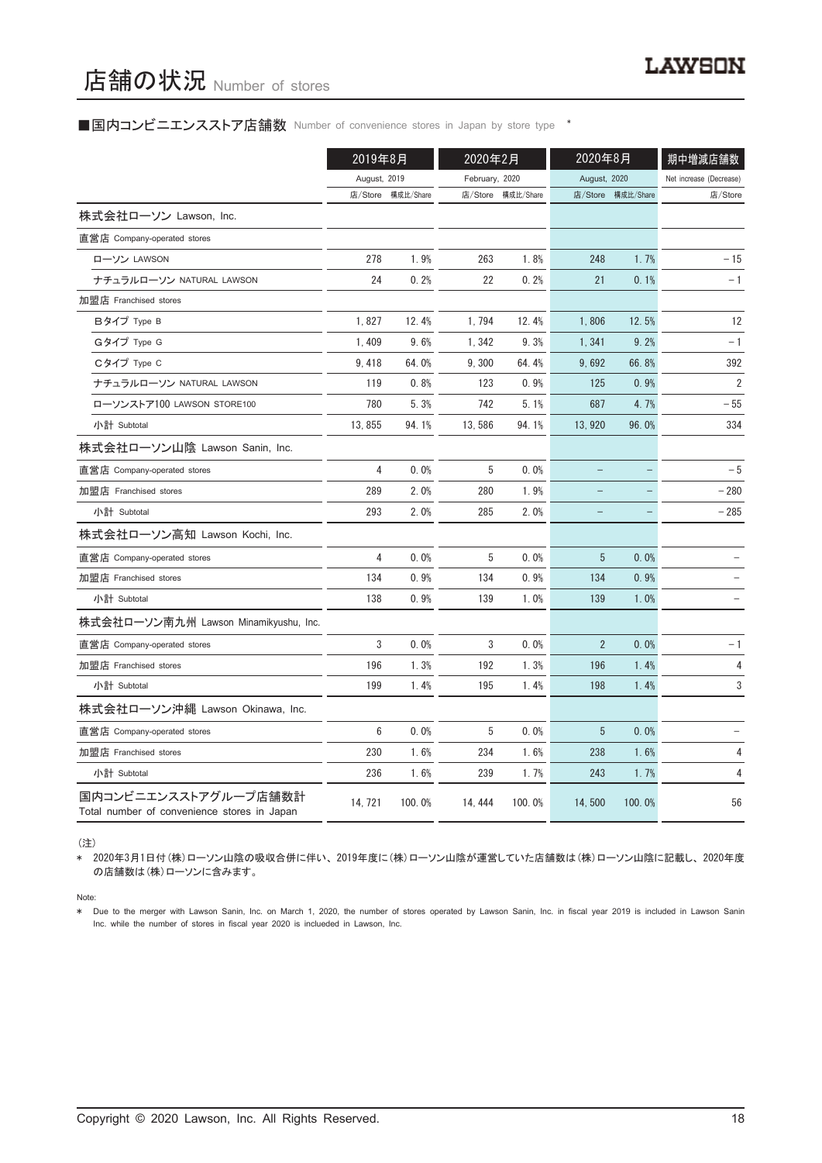# 店舗の状況 Number of stores

#### ■国内コンビニエンスストア店舗数 Number of convenience stores in Japan by store type <sup>\*</sup>

|                                                                     | 2019年8月      |           | 2020年2月        |                   | 2020年8月        |                   | 期中増減店舗数                 |
|---------------------------------------------------------------------|--------------|-----------|----------------|-------------------|----------------|-------------------|-------------------------|
|                                                                     | August, 2019 |           | February, 2020 |                   | August, 2020   |                   | Net increase (Decrease) |
|                                                                     | 店/Store      | 構成比/Share |                | 店/Store 構成比/Share |                | 店/Store 構成比/Share | 店/Store                 |
| 株式会社ローソン Lawson, Inc.                                               |              |           |                |                   |                |                   |                         |
| 直営店 Company-operated stores                                         |              |           |                |                   |                |                   |                         |
| ローソン LAWSON                                                         | 278          | 1.9%      | 263            | 1.8%              | 248            | 1.7%              | $-15$                   |
| ナチュラルローソン NATURAL LAWSON                                            | 24           | 0.2%      | 22             | 0.2%              | 21             | 0.1%              | $-1$                    |
| 加盟店 Franchised stores                                               |              |           |                |                   |                |                   |                         |
| Bタイプ Type B                                                         | 1,827        | 12.4%     | 1,794          | 12.4%             | 1,806          | 12.5%             | 12                      |
| Gタイプ Type G                                                         | 1,409        | 9.6%      | 1,342          | 9.3%              | 1, 341         | 9.2%              | $-1$                    |
| Cタイプ Type C                                                         | 9, 418       | 64.0%     | 9,300          | 64.4%             | 9,692          | 66.8%             | 392                     |
| ナチュラルローソン NATURAL LAWSON                                            | 119          | 0.8%      | 123            | 0.9%              | 125            | 0.9%              | $\overline{2}$          |
| ローソンストア100 LAWSON STORE100                                          | 780          | 5.3%      | 742            | 5.1%              | 687            | 4.7%              | - 55                    |
| 小計 Subtotal                                                         | 13, 855      | 94.1%     | 13,586         | 94.1%             | 13, 920        | 96.0%             | 334                     |
| 株式会社ローソン山陰 Lawson Sanin, Inc.                                       |              |           |                |                   |                |                   |                         |
| 直営店 Company-operated stores                                         | 4            | 0.0%      | 5              | 0.0%              |                |                   | $-5$                    |
| 加盟店 Franchised stores                                               | 289          | 2.0%      | 280            | 1.9%              |                |                   | $-280$                  |
| 小計 Subtotal                                                         | 293          | 2.0%      | 285            | 2.0%              |                |                   | $-285$                  |
| 株式会社ローソン高知 Lawson Kochi, Inc.                                       |              |           |                |                   |                |                   |                         |
| 直営店 Company-operated stores                                         | 4            | 0.0%      | 5              | 0.0%              | 5              | 0.0%              |                         |
| 加盟店 Franchised stores                                               | 134          | 0.9%      | 134            | 0.9%              | 134            | 0.9%              |                         |
| 小計 Subtotal                                                         | 138          | 0.9%      | 139            | 1.0%              | 139            | 1.0%              |                         |
| 株式会社ローソン南九州 Lawson Minamikyushu, Inc.                               |              |           |                |                   |                |                   |                         |
| 直営店 Company-operated stores                                         | 3            | 0.0%      | 3              | 0.0%              | $\overline{2}$ | 0.0%              | - 1                     |
| 加盟店 Franchised stores                                               | 196          | 1.3%      | 192            | 1.3%              | 196            | 1.4%              | 4                       |
| 小計 Subtotal                                                         | 199          | 1.4%      | 195            | 1.4%              | 198            | 1.4%              | 3                       |
| 株式会社ローソン沖縄 Lawson Okinawa, Inc.                                     |              |           |                |                   |                |                   |                         |
| 直営店 Company-operated stores                                         | 6            | 0.0%      | 5              | 0.0%              | 5              | 0.0%              |                         |
| 加盟店 Franchised stores                                               | 230          | 1.6%      | 234            | 1.6%              | 238            | 1.6%              | 4                       |
| 小計 Subtotal                                                         | 236          | 1.6%      | 239            | 1.7%              | 243            | 1.7%              | 4                       |
| 国内コンビニエンスストアグループ店舗数計<br>Total number of convenience stores in Japan | 14, 721      | 100.0%    | 14, 444        | 100.0%            | 14,500         | 100.0%            | 56                      |

(注)

\* 2020年3月1日付(株)ローソン山陰の吸収合併に伴い、 2019年度に(株)ローソン山陰が運営していた店舗数は(株)ローソン山陰に記載し、 2020年度 の店舗数は(株)ローソンに含みます。

Note:

\* Due to the merger with Lawson Sanin, Inc. on March 1, 2020, the number of stores operated by Lawson Sanin, Inc. in fiscal year 2019 is included in Lawson Sanin Inc. while the number of stores in fiscal year 2020 is inclueded in Lawson, Inc.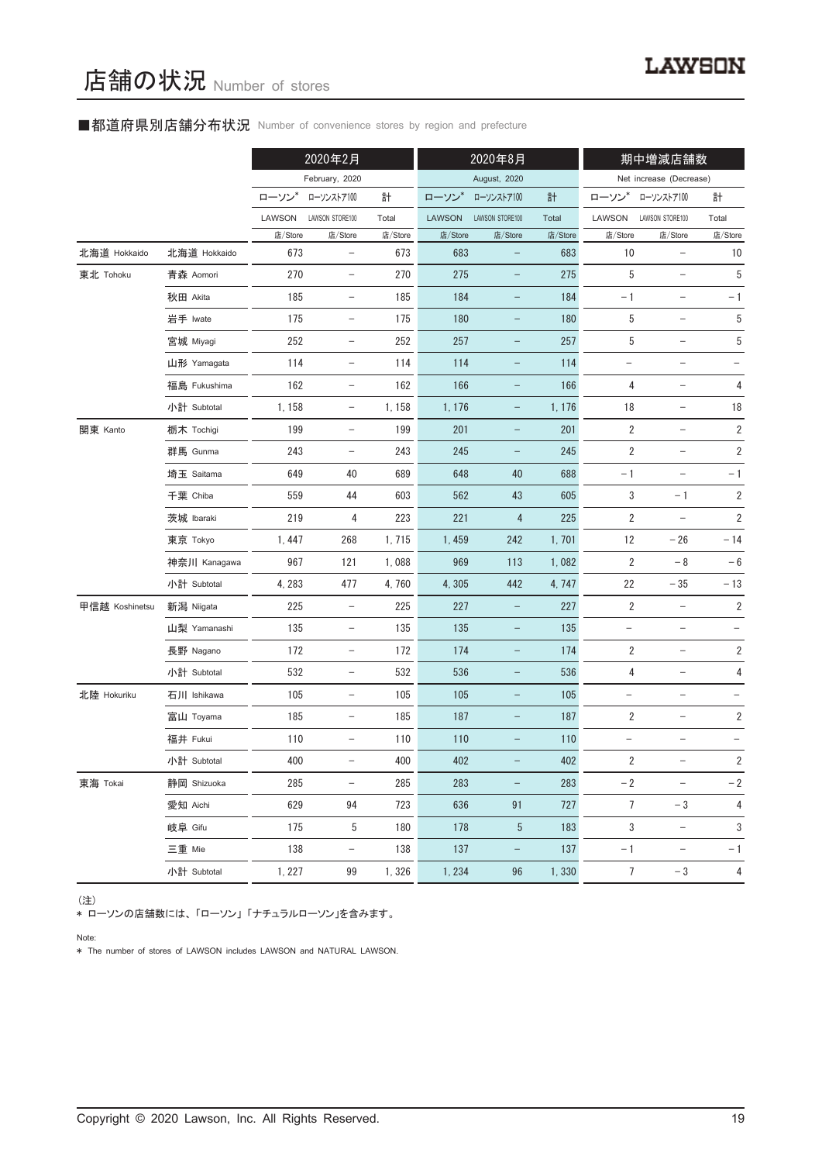#### ■都道府県別店舗分布状況 Number of convenience stores by region and prefecture

|                |              |         | 2020年2月                  |         | 2020年8月       |                   |         | 期中増減店舗数                  |                          |                         |
|----------------|--------------|---------|--------------------------|---------|---------------|-------------------|---------|--------------------------|--------------------------|-------------------------|
|                |              |         | February, 2020           |         |               | August, 2020      |         |                          | Net increase (Decrease)  |                         |
|                |              | ローソン    | ローソンストア100               | 計       | ローソン          | ローソンストア100        | 計       | ローソン                     | ローソンストア100               | 計                       |
|                |              | LAWSON  | LAWSON STORE100          | Total   | <b>LAWSON</b> | LAWSON STORE100   | Total   | LAWSON                   | LAWSON STORE100          | Total                   |
|                |              | 店/Store | 店/Store                  | 店/Store | 店/Store       | 店/Store           | 店/Store | 店/Store                  | 店/Store                  | 店/Store                 |
| 北海道 Hokkaido   | 北海道 Hokkaido | 673     | $\qquad \qquad -$        | 673     | 683           | -                 | 683     | 10                       | $\qquad \qquad -$        | 10                      |
| 東北 Tohoku      | 青森 Aomori    | 270     | $\qquad \qquad -$        | 270     | 275           |                   | 275     | 5                        | $\qquad \qquad -$        | 5                       |
|                | 秋田 Akita     | 185     | $\overline{\phantom{a}}$ | 185     | 184           | $\qquad \qquad -$ | 184     | $-1$                     | $\qquad \qquad -$        | $-1$                    |
|                | 岩手 Iwate     | 175     | $\qquad \qquad -$        | 175     | 180           | -                 | 180     | 5                        | $\qquad \qquad -$        | 5                       |
|                | 宮城 Miyagi    | 252     | $\qquad \qquad -$        | 252     | 257           | -                 | 257     | 5                        | $\overline{\phantom{0}}$ | 5                       |
|                | 山形 Yamagata  | 114     | $\overline{\phantom{a}}$ | 114     | 114           | $\qquad \qquad -$ | 114     | $\qquad \qquad -$        | $\qquad \qquad -$        |                         |
|                | 福島 Fukushima | 162     | $\qquad \qquad -$        | 162     | 166           | -                 | 166     | 4                        | $\qquad \qquad -$        | 4                       |
|                | 小計 Subtotal  | 1,158   | $\qquad \qquad -$        | 1,158   | 1, 176        | $\qquad \qquad -$ | 1, 176  | 18                       | $\qquad \qquad -$        | $18\,$                  |
| 関東 Kanto       | 栃木 Tochigi   | 199     | $\overline{\phantom{a}}$ | 199     | 201           | -                 | 201     | $\sqrt{2}$               | $\overline{\phantom{a}}$ | $\overline{\mathbf{c}}$ |
|                | 群馬 Gunma     | 243     | $\qquad \qquad -$        | 243     | 245           | -                 | 245     | $\sqrt{2}$               | $\qquad \qquad -$        | $\sqrt{2}$              |
|                | 埼玉 Saitama   | 649     | 40                       | 689     | 648           | 40                | 688     | $-1$                     |                          | $-1$                    |
|                | 千葉 Chiba     | 559     | 44                       | 603     | 562           | 43                | 605     | 3                        | $-1$                     | $\overline{\mathbf{c}}$ |
|                | 茨城 Ibaraki   | 219     | 4                        | 223     | 221           | 4                 | 225     | 2                        |                          | $\sqrt{2}$              |
|                | 東京 Tokyo     | 1,447   | 268                      | 1,715   | 1.459         | 242               | 1,701   | 12                       | $-26$                    | $-14$                   |
|                | 神奈川 Kanagawa | 967     | 121                      | 1,088   | 969           | 113               | 1,082   | 2                        | $-\, 8$                  | $-6$                    |
|                | 小計 Subtotal  | 4,283   | 477                      | 4,760   | 4,305         | 442               | 4, 747  | 22                       | $-\,35$                  | $-13$                   |
| 甲信越 Koshinetsu | 新潟 Niigata   | 225     | $\qquad \qquad -$        | 225     | 227           | -                 | 227     | $\overline{2}$           | $\overline{\phantom{a}}$ | $\sqrt{2}$              |
|                | 山梨 Yamanashi | 135     | $\overline{\phantom{a}}$ | 135     | 135           | $\qquad \qquad -$ | 135     | $\overline{\phantom{a}}$ | $\overline{\phantom{a}}$ |                         |
|                | 長野 Nagano    | 172     | $\qquad \qquad -$        | 172     | 174           | -                 | 174     | 2                        | $\qquad \qquad -$        | $\sqrt{2}$              |
|                | 小計 Subtotal  | 532     | $\qquad \qquad -$        | 532     | 536           | -                 | 536     | 4                        | $\overline{\phantom{0}}$ | 4                       |
| 北陸 Hokuriku    | 石川 Ishikawa  | 105     | $\overline{\phantom{a}}$ | 105     | 105           | $\qquad \qquad -$ | 105     | $\overline{\phantom{0}}$ | $\qquad \qquad -$        |                         |
|                | 富山 Toyama    | 185     | $\qquad \qquad -$        | 185     | 187           | -                 | 187     | 2                        | $\qquad \qquad -$        | $\sqrt{2}$              |
|                | 福井 Fukui     | 110     | $\qquad \qquad -$        | 110     | 110           |                   | 110     |                          |                          |                         |
|                | 小計 Subtotal  | 400     | $\qquad \qquad -$        | 400     | 402           |                   | 402     | $\overline{2}$           | $\qquad \qquad -$        | $\overline{2}$          |
| 東海 Tokai       | 静岡 Shizuoka  | 285     | $\qquad \qquad -$        | 285     | 283           | -                 | 283     | $-2$                     |                          | $-2$                    |
|                | 愛知 Aichi     | 629     | 94                       | 723     | 636           | 91                | 727     | $\overline{7}$           | $-3$                     | 4                       |
|                | 岐阜 Gifu      | 175     | 5                        | 180     | 178           | 5                 | 183     | $\mathbf{3}$             | $\overline{\phantom{a}}$ | 3                       |
|                | 三重 Mie       | 138     | $\overline{\phantom{a}}$ | 138     | 137           | $\qquad \qquad -$ | 137     | $-1$                     | $\overline{\phantom{a}}$ | $-1$                    |
|                | 小計 Subtotal  | 1, 227  | 99                       | 1,326   | 1, 234        | 96                | 1,330   | $7\phantom{.0}$          | $-3$                     | 4                       |

(注)

\* ローソンの店舗数には、 「ローソン」 「ナチュラルローソン」を含みます。

Note:

\* The number of stores of LAWSON includes LAWSON and NATURAL LAWSON.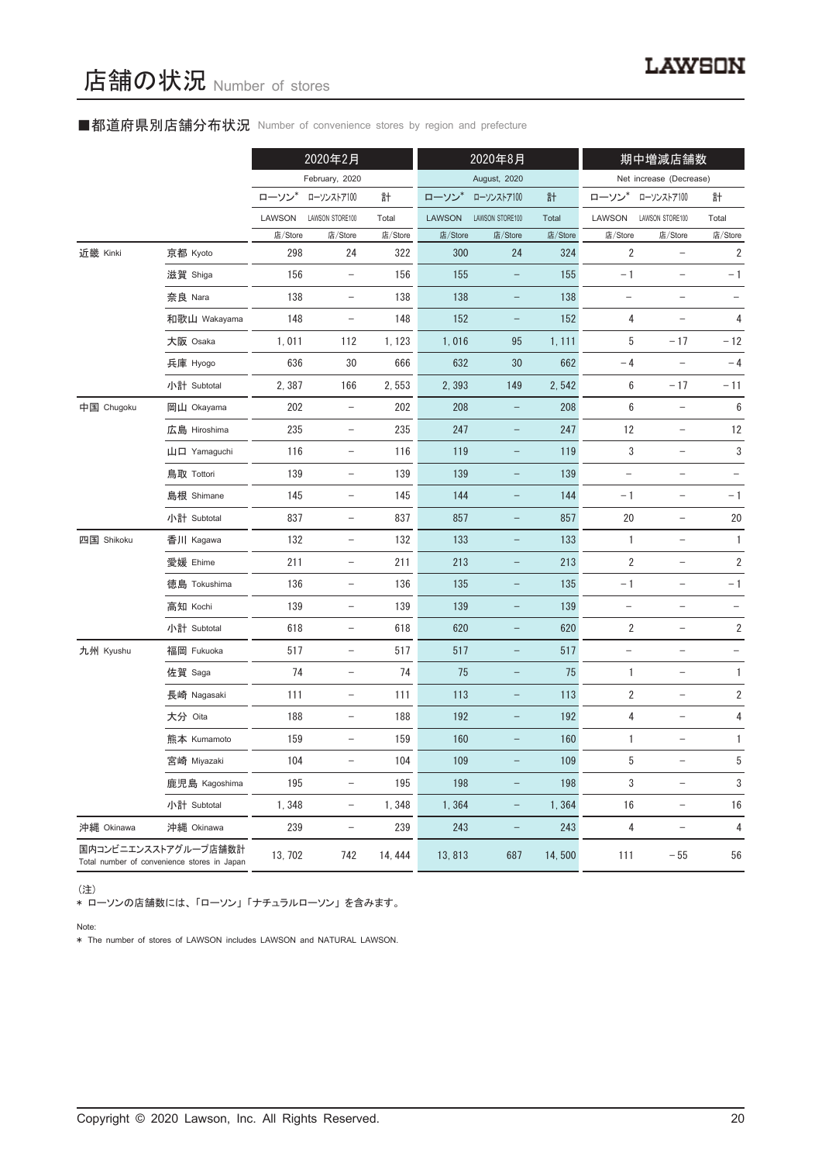#### ■都道府県別店舗分布状況 Number of convenience stores by region and prefecture

|            |                                                                     |         | 2020年2月                  |         | 2020年8月       |                          | 期中増減店舗数 |                          |                          |                         |
|------------|---------------------------------------------------------------------|---------|--------------------------|---------|---------------|--------------------------|---------|--------------------------|--------------------------|-------------------------|
|            |                                                                     |         | February, 2020           |         |               | August, 2020             |         |                          | Net increase (Decrease)  |                         |
|            |                                                                     | ローソン    | ローソンストア100               | 計       | ローソン          | ローソンストア100               | 計       | ローソン                     | ローソンストア100               | 計                       |
|            |                                                                     | LAWSON  | LAWSON STORE100          | Total   | <b>LAWSON</b> | LAWSON STORE100          | Total   | LAWSON                   | LAWSON STORE100          | Total                   |
|            |                                                                     | 店/Store | 店/Store                  | 店/Store | 店/Store       | 店/Store                  | 店/Store | 店/Store                  | 店/Store                  | 店/Store                 |
| 近畿 Kinki   | 京都 Kyoto                                                            | 298     | 24                       | 322     | 300           | 24                       | 324     | $\overline{2}$           |                          | 2                       |
|            | 滋賀 Shiga                                                            | 156     | $\overline{\phantom{a}}$ | 156     | 155           | $\qquad \qquad -$        | 155     | $-1$                     | $\qquad \qquad -$        | $-1$                    |
|            | 奈良 Nara                                                             | 138     | $\overline{\phantom{a}}$ | 138     | 138           | $\qquad \qquad -$        | 138     | $\overline{\phantom{a}}$ | $\qquad \qquad -$        | $\qquad \qquad -$       |
|            | 和歌山 Wakayama                                                        | 148     | $\overline{\phantom{a}}$ | 148     | 152           | $\qquad \qquad -$        | 152     | 4                        |                          | 4                       |
|            | 大阪 Osaka                                                            | 1,011   | 112                      | 1, 123  | 1,016         | 95                       | 1, 111  | 5                        | $-17$                    | $-12$                   |
|            | 兵庫 Hyogo                                                            | 636     | 30                       | 666     | 632           | 30                       | 662     | $-4$                     | $\overline{\phantom{0}}$ | $-4$                    |
|            | 小計 Subtotal                                                         | 2,387   | 166                      | 2,553   | 2,393         | 149                      | 2,542   | 6                        | $-17$                    | $-11$                   |
| 中国 Chugoku | 岡山 Okayama                                                          | 202     | $\overline{\phantom{a}}$ | 202     | 208           | $\qquad \qquad -$        | 208     | 6                        | $\overline{\phantom{a}}$ | $\boldsymbol{6}$        |
|            | 広島 Hiroshima                                                        | 235     | $\overline{\phantom{a}}$ | 235     | 247           | $\qquad \qquad -$        | 247     | 12                       | $\overline{\phantom{a}}$ | 12                      |
|            | 山口 Yamaguchi                                                        | 116     | $\overline{\phantom{a}}$ | 116     | 119           | $\qquad \qquad -$        | 119     | 3                        | $\qquad \qquad -$        | 3                       |
|            | 鳥取 Tottori                                                          | 139     | $\overline{\phantom{a}}$ | 139     | 139           | $\qquad \qquad -$        | 139     | $\qquad \qquad -$        | $\qquad \qquad -$        |                         |
|            | 島根 Shimane                                                          | 145     | $\overline{\phantom{a}}$ | 145     | 144           | $\qquad \qquad -$        | 144     | $-1$                     | $\overline{\phantom{a}}$ | $-1$                    |
|            | 小計 Subtotal                                                         | 837     | $\overline{\phantom{a}}$ | 837     | 857           | $\qquad \qquad -$        | 857     | 20                       | $\qquad \qquad -$        | 20                      |
| 四国 Shikoku | 香川 Kagawa                                                           | 132     | $\overline{\phantom{a}}$ | 132     | 133           | -                        | 133     | 1                        | $\overline{\phantom{0}}$ | $\mathbf{1}$            |
|            | 愛媛 Ehime                                                            | 211     | $\overline{\phantom{a}}$ | 211     | 213           | $\qquad \qquad -$        | 213     | 2                        | $\qquad \qquad -$        | $\overline{\mathbf{c}}$ |
|            | 徳島 Tokushima                                                        | 136     | $\qquad \qquad -$        | 136     | 135           | $\qquad \qquad -$        | 135     | $-1$                     | $\qquad \qquad -$        | $-1$                    |
|            | 高知 Kochi                                                            | 139     | $\overline{\phantom{a}}$ | 139     | 139           | $\qquad \qquad -$        | 139     | $\qquad \qquad -$        | $\qquad \qquad -$        |                         |
|            | 小計 Subtotal                                                         | 618     | $\overline{\phantom{a}}$ | 618     | 620           | $\overline{\phantom{a}}$ | 620     | $\overline{2}$           | $\overline{\phantom{a}}$ | 2                       |
| 九州 Kyushu  | 福岡 Fukuoka                                                          | 517     | $\overline{\phantom{a}}$ | 517     | 517           | $\qquad \qquad -$        | 517     | $\qquad \qquad -$        | $\qquad \qquad -$        |                         |
|            | 佐賀 Saga                                                             | 74      | $\overline{\phantom{a}}$ | 74      | 75            | $\qquad \qquad -$        | 75      | 1                        | $\qquad \qquad -$        | 1                       |
|            | 長崎 Nagasaki                                                         | 111     | $\overline{\phantom{a}}$ | 111     | 113           | $\qquad \qquad -$        | 113     | $\overline{2}$           | $\qquad \qquad -$        | 2                       |
|            | 大分 Oita                                                             | 188     | $\qquad \qquad -$        | 188     | 192           | -                        | 192     | 4                        | $\qquad \qquad -$        | 4                       |
|            | 熊本 Kumamoto                                                         | 159     | $\overline{\phantom{a}}$ | 159     | 160           |                          | 160     | 1                        |                          | 1                       |
|            | 宮崎 Miyazaki                                                         | 104     | $\overline{\phantom{a}}$ | 104     | 109           |                          | 109     | 5                        | $\qquad \qquad -$        | 5                       |
|            | 鹿児島 Kagoshima                                                       | 195     | $\overline{\phantom{a}}$ | 195     | 198           | $\qquad \qquad -$        | 198     | 3                        | $\overline{\phantom{0}}$ | 3                       |
|            | 小計 Subtotal                                                         | 1,348   | $\overline{\phantom{a}}$ | 1,348   | 1,364         | -                        | 1,364   | 16                       | $\qquad \qquad -$        | 16                      |
| 沖縄 Okinawa | 沖縄 Okinawa                                                          | 239     | -                        | 239     | 243           | -                        | 243     | $\overline{\mathbf{4}}$  | $\qquad \qquad -$        | 4                       |
|            | 国内コンビニエンスストアグループ店舗数計<br>Total number of convenience stores in Japan | 13, 702 | 742                      | 14, 444 | 13,813        | 687                      | 14,500  | 111                      | $-55$                    | 56                      |

(注)

\* ローソンの店舗数には、 「ローソン」 「ナチュラルローソン」 を含みます。

Note:

\* The number of stores of LAWSON includes LAWSON and NATURAL LAWSON.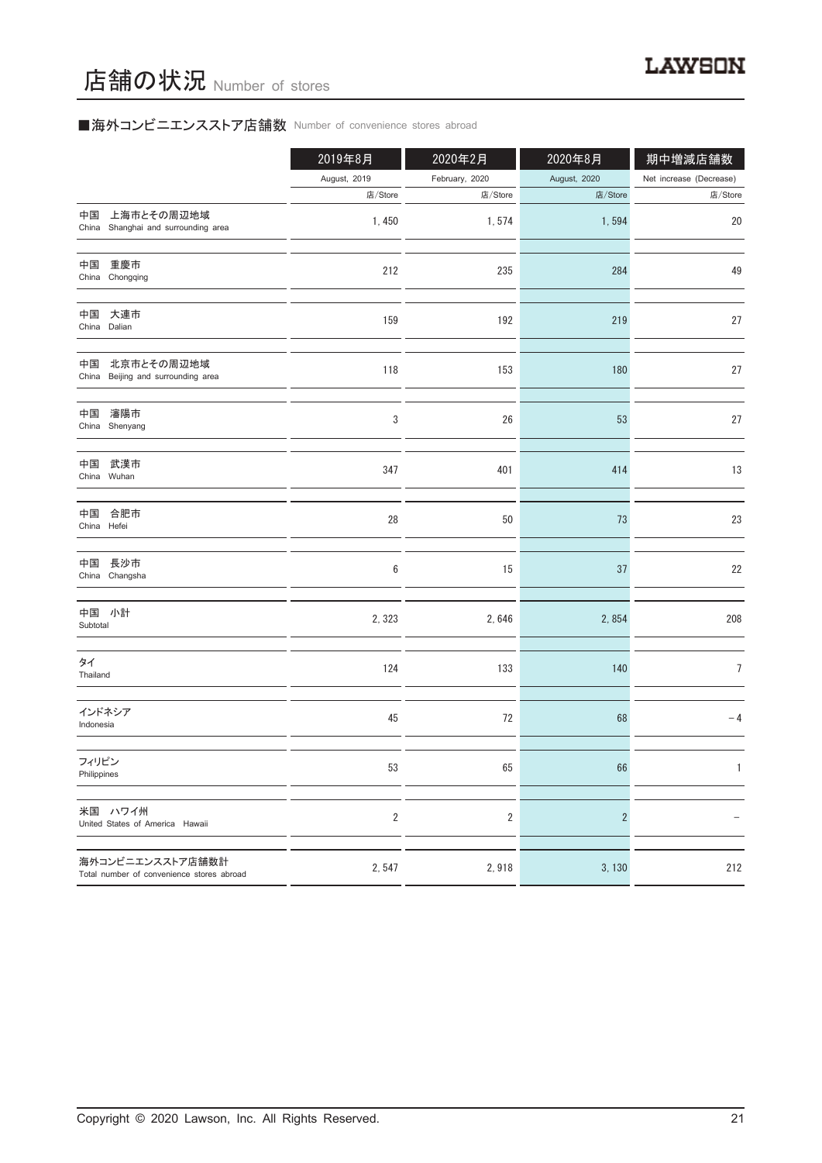# ■海外コンビニエンスストア店舗数 Number of convenience stores abroad

|                                                               | 2019年8月                 | 2020年2月        | 2020年8月        | 期中増減店舗数                 |
|---------------------------------------------------------------|-------------------------|----------------|----------------|-------------------------|
|                                                               | August, 2019            | February, 2020 | August, 2020   | Net increase (Decrease) |
|                                                               | 店/Store                 | 店/Store        | 店/Store        | 店/Store                 |
| 上海市とその周辺地域<br>中国<br>China Shanghai and surrounding area       | 1,450                   | 1, 574         | 1,594          | 20                      |
| 中国<br>重慶市<br>China Chongqing                                  | 212                     | 235            | 284            | 49                      |
| 中国<br>大連市<br>China Dalian                                     | 159                     | 192            | 219            | 27                      |
| 北京市とその周辺地域<br>中国<br>China Beijing and surrounding area        | 118                     | 153            | 180            | 27                      |
| 瀋陽市<br>中国<br>China Shenyang                                   | 3                       | 26             | 53             | 27                      |
| 中国<br>武漢市<br>China Wuhan                                      | 347                     | 401            | 414            | 13                      |
| 中国<br>合肥市<br>China Hefei                                      | 28                      | 50             | 73             | 23                      |
| 中国 長沙市<br>China Changsha                                      | 6                       | 15             | 37             | 22                      |
| 中国 小計<br>Subtotal                                             | 2,323                   | 2,646          | 2,854          | 208                     |
| タイ<br>Thailand                                                | 124                     | 133            | 140            | 7                       |
| インドネシア<br>Indonesia                                           | 45                      | 72             | 68             | $-4$                    |
| フィリピン<br>Philippines                                          | 53                      | 65             | 66             |                         |
| 米国 ハワイ州<br>United States of America Hawaii                    | $\overline{\mathbf{c}}$ | $\overline{2}$ | $\overline{c}$ |                         |
| 海外コンビニエンスストア店舗数計<br>Total number of convenience stores abroad | 2,547                   | 2,918          | 3, 130         | 212                     |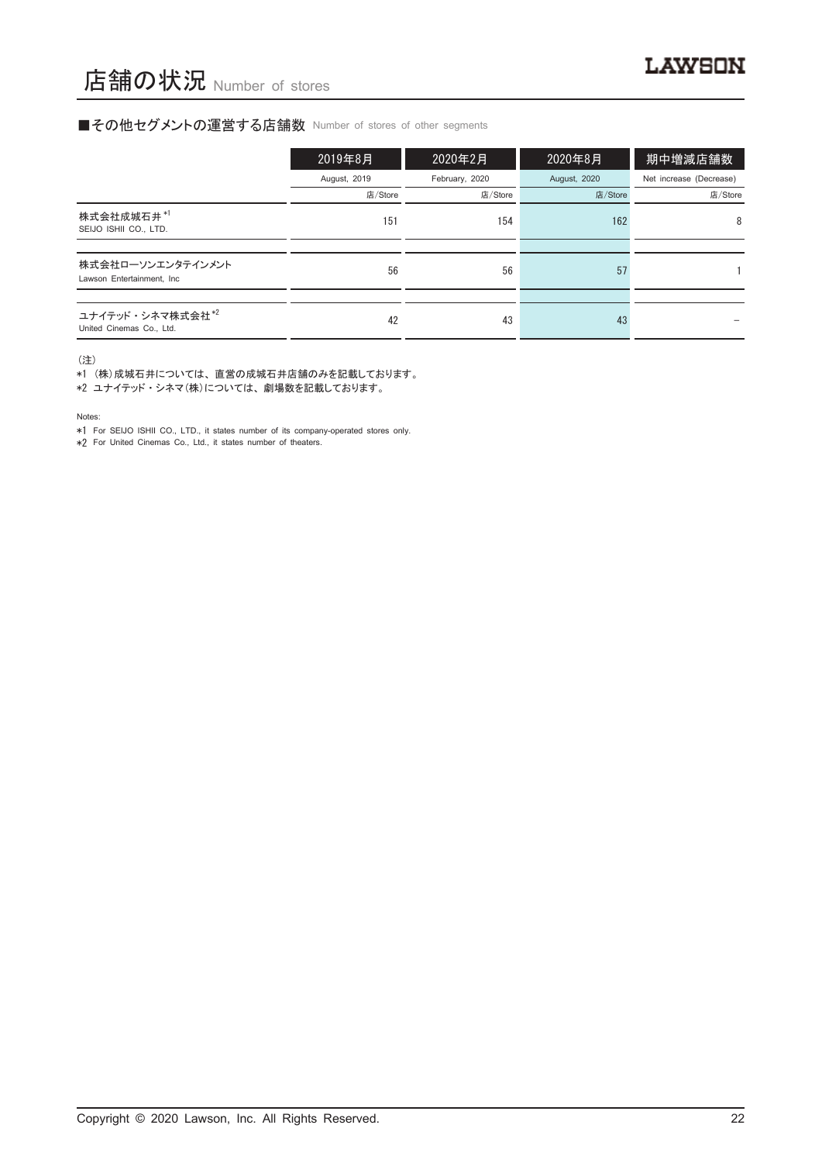#### ■その他セグメントの運営する店舗数 Number of stores of other segments

|                                                          | 2019年8月      | 2020年2月        | 2020年8月             | 期中増減店舗数                 |
|----------------------------------------------------------|--------------|----------------|---------------------|-------------------------|
|                                                          | August, 2019 | February, 2020 | <b>August, 2020</b> | Net increase (Decrease) |
|                                                          | 店/Store      | 店/Store        | 店/Store             | 店/Store                 |
| 株式会社成城石井*1<br>SEIJO ISHII CO., LTD.                      | 151          | 154            | 162                 | 8                       |
|                                                          |              |                |                     |                         |
| 株式会社ローソンエンタテインメント<br>Lawson Entertainment, Inc.          | 56           | 56             | 57                  |                         |
|                                                          |              |                |                     |                         |
| ユナイテッド・シネマ株式会社 <sup>*2</sup><br>United Cinemas Co., Ltd. | 42           | 43             | 43                  |                         |

(注)

\*1 (株)成城石井については、 直営の成城石井店舗のみを記載しております。

\*2 ユナイテッド ・ シネマ(株)については、 劇場数を記載しております。

Notes:

\*1 For SEIJO ISHII CO., LTD., it states number of its company-operated stores only.

\*2 For United Cinemas Co., Ltd., it states number of theaters.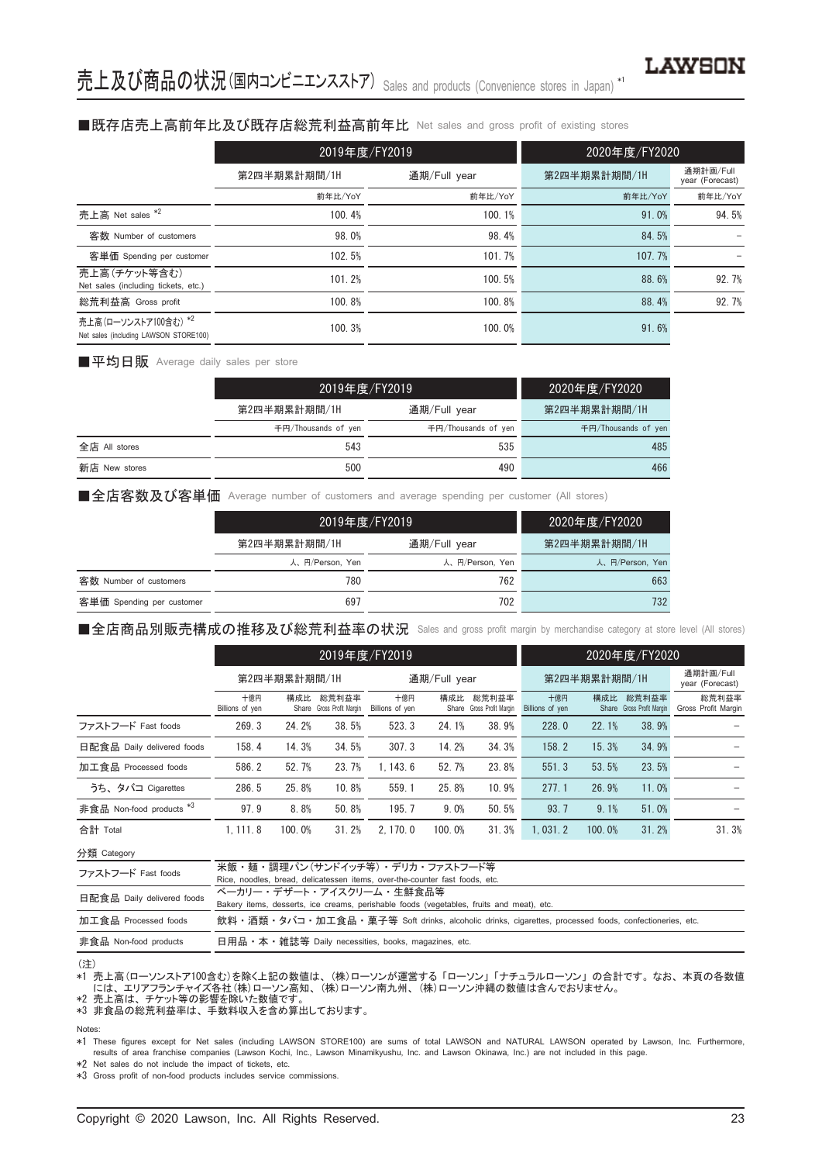#### ■既存店売上高前年比及び既存店総荒利益高前年比 Net sales and gross profit of existing stores

|                                                               | 2019年度/FY2019 |              | 2020年度/FY2020 |                              |
|---------------------------------------------------------------|---------------|--------------|---------------|------------------------------|
|                                                               | 第2四半期累計期間/1H  | 通期/Full year | 第2四半期累計期間/1H  | 通期計画/Full<br>year (Forecast) |
|                                                               | 前年比/YoY       | 前年比/YoY      | 前年比/YoY       | 前年比/YoY                      |
| 売上高 Net sales *2                                              | 100.4%        | 100.1%       | 91.0%         | 94.5%                        |
| 客数 Number of customers                                        | 98.0%         | 98.4%        | 84.5%         |                              |
| 客単価 Spending per customer                                     | 102.5%        | 101.7%       | 107.7%        |                              |
| 売上高(チケット等含む)<br>Net sales (including tickets, etc.)           | 101.2%        | 100.5%       | 88.6%         | 92.7%                        |
| 総荒利益高 Gross profit                                            | 100.8%        | 100.8%       | 88.4%         | 92.7%                        |
| 売上高(ローソンストア100含む) *2<br>Net sales (including LAWSON STORE100) | 100.3%        | 100.0%       | 91.6%         |                              |

■平均日販 Average daily sales per store

|               |                     | 2019年度/FY2019       | 2020年度/FY2020       |
|---------------|---------------------|---------------------|---------------------|
|               | 第2四半期累計期間/1H        | 通期/Full year        | 第2四半期累計期間/1H        |
|               | 千円/Thousands of yen | 千円/Thousands of yen | 千円/Thousands of yen |
| 全店 All stores | 543                 | 535                 | 485                 |
| 新店 New stores | 500                 | 490                 | 466                 |

■全店客数及び客単価 Average number of customers and average spending per customer (All stores)

|                           |                 | 2019年度/FY2019   | 2020年度/FY20201  |
|---------------------------|-----------------|-----------------|-----------------|
|                           | 第2四半期累計期間/1H    | 通期/Full year    | 第2四半期累計期間/1H    |
|                           | 人、円/Person, Yen | 人、円/Person, Yen | 人、円/Person, Yen |
| 客数 Number of customers    | 780             | 762             | 663             |
| 客単価 Spending per customer | 697             | 702             | 732             |

■全店商品別販売構成の推移及び総荒利益率の状況 Sales and gross profit margin by merchandise category at store level (All stores)

|                                     |                        | 2019年度/FY2019 |                                    |                        |              |                                    | 2020年度/FY2020          |              |                                    |                              |
|-------------------------------------|------------------------|---------------|------------------------------------|------------------------|--------------|------------------------------------|------------------------|--------------|------------------------------------|------------------------------|
|                                     |                        | 第2四半期累計期間/1H  |                                    |                        | 通期/Full year |                                    |                        | 第2四半期累計期間/1H |                                    |                              |
|                                     | 十億円<br>Billions of yen | 構成比           | 総荒利益率<br>Share Gross Profit Margin | 十億円<br>Billions of yen | 構成比          | 総荒利益率<br>Share Gross Profit Margin | 十億円<br>Billions of yen | 構成比          | 総荒利益率<br>Share Gross Profit Margin | 総荒利益率<br>Gross Profit Margin |
| ファストフード Fast foods                  | 269.3                  | 24.2%         | 38.5%                              | 523.3                  | 24.1%        | 38.9%                              | 228.0                  | 22.1%        | 38.9%                              |                              |
| 日配食品 Daily delivered foods          | 158.4                  | 14.3%         | 34.5%                              | 307.3                  | 14.2%        | 34.3%                              | 158.2                  | 15.3%        | 34.9%                              |                              |
| 加工食品 Processed foods                | 586.2                  | 52.7%         | 23.7%                              | 1.143.6                | 52.7%        | 23.8%                              | 551.3                  | 53.5%        | 23.5%                              |                              |
| うち、タバコ Cigarettes                   | 286.5                  | 25.8%         | 10.8%                              | 559.1                  | 25.8%        | 10.9%                              | 277.1                  | 26.9%        | 11.0%                              |                              |
| 非食品 Non-food products <sup>*3</sup> | 97.9                   | 8.8%          | 50.8%                              | 195.7                  | 9.0%         | 50.5%                              | 93.7                   | 9.1%         | 51.0%                              |                              |
| 合計 Total                            | 1.111.8                | 100.0%        | 31.2%                              | 2.170.0                | 100.0%       | 31.3%                              | 1.031.2                | 100.0%       | 31.2%                              | 31.3%                        |

分類 Category

| 米飯・麺・調理パン(サンドイッチ等)・デリカ・ファストフード等                                                                      |
|------------------------------------------------------------------------------------------------------|
| Rice, noodles, bread, delicatessen items, over-the-counter fast foods, etc.                          |
| ベーカリー・デザート・アイスクリーム・牛鮮食品等                                                                             |
| Bakery items, desserts, ice creams, perishable foods (vegetables, fruits and meat), etc.             |
| 飲料・酒類・タバコ・加工食品・菓子等 Soft drinks, alcoholic drinks, cigarettes, processed foods, confectioneries, etc. |
| 日用品 • 本 • 雑誌等 Daily necessities, books, magazines, etc.                                              |
|                                                                                                      |

#### (注)

\*1 売上高(ローソンストア100含む)を除く上記の数値は、 (株)ローソンが運営する 「ローソン」 「ナチュラルローソン」 の合計です。 なお、 本頁の各数値 には、 エリアフランチャイズ各社(株)ローソン高知、 (株)ローソン南九州、 (株)ローソン沖縄の数値は含んでおりません。 \*2 売上高は、 チケット等の影響を除いた数値です。

\*3 非食品の総荒利益率は、 手数料収入を含め算出しております。

#### Notes:

\*1 These figures except for Net sales (including LAWSON STORE100) are sums of total LAWSON and NATURAL LAWSON operated by Lawson, Inc. Furthermore, results of area franchise companies (Lawson Kochi, Inc., Lawson Minamikyushu, Inc. and Lawson Okinawa, Inc.) are not included in this page.

\*2 Net sales do not include the impact of tickets, etc.

\*3 Gross profit of non-food products includes service commissions.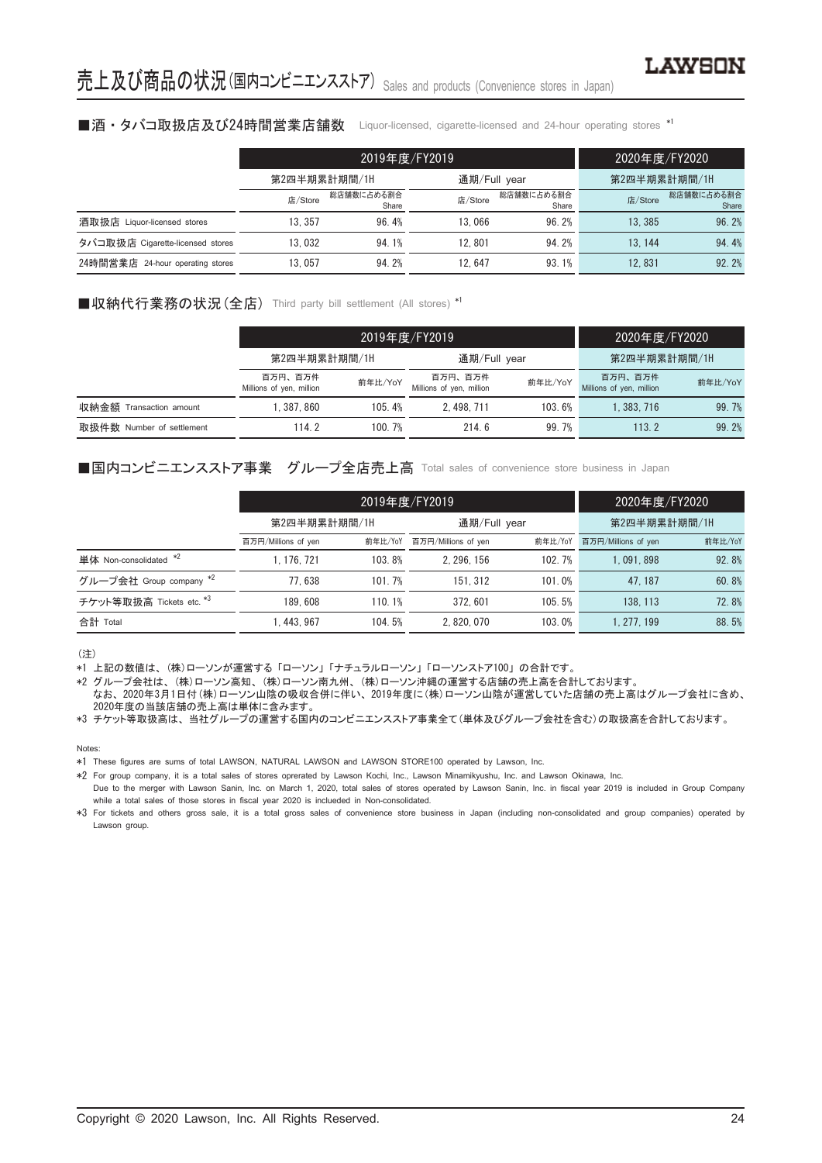#### ■酒・タバコ取扱店及び24時間営業店舗数 Liquor-licensed, cigarette-licensed and 24-hour operating stores \*1

|                                  |              | 2019年度/FY2019       |              | 2020年度/FY2020       |              |                     |  |
|----------------------------------|--------------|---------------------|--------------|---------------------|--------------|---------------------|--|
|                                  | 第2四半期累計期間/1H |                     | 通期/Full year |                     | 第2四半期累計期間/1H |                     |  |
|                                  | 店/Store      | 総店舗数に占める割合<br>Share | 店/Store      | 総店舗数に占める割合<br>Share | 店/Store      | 総店舗数に占める割合<br>Share |  |
| 酒取扱店 Liquor-licensed stores      | 13.357       | 96.4%               | 13.066       | 96.2%               | 13.385       | 96.2%               |  |
| タバコ取扱店 Cigarette-licensed stores | 13.032       | 94.1%               | 12.801       | 94.2%               | 13.144       | 94.4%               |  |
| 24時間営業店 24-hour operating stores | 13.057       | 94.2%               | 12.647       | 93.1%               | 12.831       | 92.2%               |  |

#### ■収納代行業務の状況 (全店) Third party bill settlement (All stores) \*1

|                           | 2019年度/FY2019                       |         |                                     |         | 2020年度/FY2020                       |         |
|---------------------------|-------------------------------------|---------|-------------------------------------|---------|-------------------------------------|---------|
|                           | 第2四半期累計期間/1H                        |         | 通期/Full year                        |         | 第2四半期累計期間/1H                        |         |
|                           | 百万円、百万件<br>Millions of yen, million | 前年比/YoY | 百万円、百万件<br>Millions of yen, million | 前年比/YoY | 百万円、百万件<br>Millions of yen, million | 前年比/YoY |
| 収納金額 Transaction amount   | 1.387.860                           | 105.4%  | 2.498.711                           | 103.6%  | 1.383.716                           | 99.7%   |
| 取扱件数 Number of settlement | 114.2                               | 100.7%  | 214.6                               | 99.7%   | 113.2                               | 99.2%   |

#### ■国内コンビニエンスストア事業 グループ全店売上高 Total sales of convenience store business in Japan

|                          | 2019年度/FY2019       |         |                     |         | 2020年度/FY2020       |         |
|--------------------------|---------------------|---------|---------------------|---------|---------------------|---------|
|                          | 第2四半期累計期間/1H        |         | 通期/Full year        |         | 第2四半期累計期間/1H        |         |
|                          | 百万円/Millions of yen | 前年比/YoY | 百万円/Millions of yen | 前年比/YoY | 百万円/Millions of yen | 前年比/YoY |
| 単体 Non-consolidated *2   | 1.176.721           | 103.8%  | 2.296.156           | 102.7%  | 1.091.898           | 92.8%   |
| グループ会社 Group company *2  | 77.638              | 101.7%  | 151.312             | 101.0%  | 47.187              | 60.8%   |
| チケット等取扱高 Tickets etc. *3 | 189.608             | 110.1%  | 372.601             | 105.5%  | 138, 113            | 72.8%   |
| 合計 Total                 | 1.443.967           | 104.5%  | 2.820.070           | 103.0%  | 1.277.199           | 88.5%   |

(注)

\*1 上記の数値は、 (株)ローソンが運営する 「ローソン」 「ナチュラルローソン」 「ローソンストア100」 の合計です。

\*2 グループ会社は、 (株)ローソン高知、 (株)ローソン南九州、 (株)ローソン沖縄の運営する店舗の売上高を合計しております。 なお、 2020年3月1日付(株)ローソン山陰の吸収合併に伴い、 2019年度に(株)ローソン山陰が運営していた店舗の売上高はグループ会社に含め、 2020年度の当該店舗の売上高は単体に含みます。

\*3 チケット等取扱高は、 当社グループの運営する国内のコンビニエンスストア事業全て(単体及びグループ会社を含む)の取扱高を合計しております。

Notes:

\*2 For group company, it is a total sales of stores oprerated by Lawson Kochi, Inc., Lawson Minamikyushu, Inc. and Lawson Okinawa, Inc. Due to the merger with Lawson Sanin, Inc. on March 1, 2020, total sales of stores operated by Lawson Sanin, Inc. in fiscal year 2019 is included in Group Company

while a total sales of those stores in fiscal year 2020 is inclueded in Non-consolidated. \*3 For tickets and others gross sale, it is a total gross sales of convenience store business in Japan (including non-consolidated and group companies) operated by

Lawson group.

<sup>\*1</sup> These figures are sums of total LAWSON, NATURAL LAWSON and LAWSON STORE100 operated by Lawson, Inc.